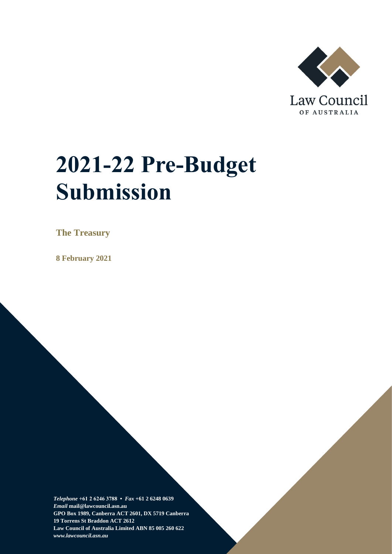

# **2021-22 Pre-Budget Submission**

**The Treasury**

**8 February 2021**

*Telephone* **+61 2 6246 3788 •** *Fax* **+61 2 6248 0639**  *Email* **mail@lawcouncil.asn.au GPO Box 1989, Canberra ACT 2601, DX 5719 Canberra 19 Torrens St Braddon ACT 2612 Law Council of Australia Limited ABN 85 005 260 622** *www.lawcouncil.asn.au*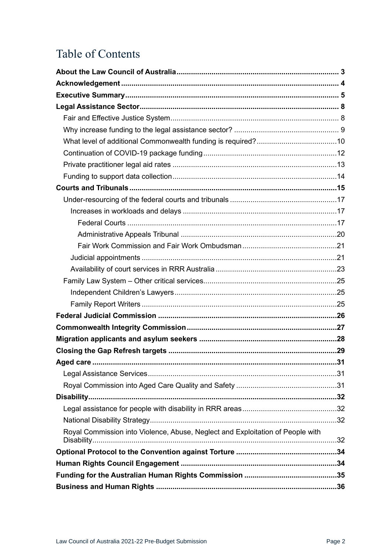# Table of Contents

| Royal Commission into Violence, Abuse, Neglect and Exploitation of People with |  |
|--------------------------------------------------------------------------------|--|
|                                                                                |  |
|                                                                                |  |
|                                                                                |  |
|                                                                                |  |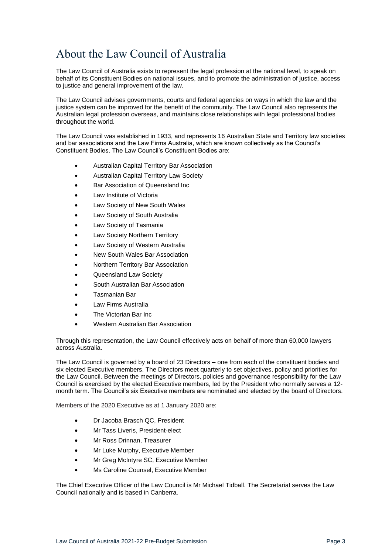# <span id="page-2-0"></span>About the Law Council of Australia

The Law Council of Australia exists to represent the legal profession at the national level, to speak on behalf of its Constituent Bodies on national issues, and to promote the administration of justice, access to justice and general improvement of the law.

The Law Council advises governments, courts and federal agencies on ways in which the law and the justice system can be improved for the benefit of the community. The Law Council also represents the Australian legal profession overseas, and maintains close relationships with legal professional bodies throughout the world.

The Law Council was established in 1933, and represents 16 Australian State and Territory law societies and bar associations and the Law Firms Australia, which are known collectively as the Council's Constituent Bodies. The Law Council's Constituent Bodies are:

- Australian Capital Territory Bar Association
- Australian Capital Territory Law Society
- Bar Association of Queensland Inc
- Law Institute of Victoria
- Law Society of New South Wales
- Law Society of South Australia
- Law Society of Tasmania
- Law Society Northern Territory
- Law Society of Western Australia
- New South Wales Bar Association
- Northern Territory Bar Association
- Queensland Law Society
- South Australian Bar Association
- Tasmanian Bar
- Law Firms Australia
- The Victorian Bar Inc
- Western Australian Bar Association

Through this representation, the Law Council effectively acts on behalf of more than 60,000 lawyers across Australia.

The Law Council is governed by a board of 23 Directors – one from each of the constituent bodies and six elected Executive members. The Directors meet quarterly to set objectives, policy and priorities for the Law Council. Between the meetings of Directors, policies and governance responsibility for the Law Council is exercised by the elected Executive members, led by the President who normally serves a 12 month term. The Council's six Executive members are nominated and elected by the board of Directors.

Members of the 2020 Executive as at 1 January 2020 are:

- Dr Jacoba Brasch QC, President
- Mr Tass Liveris, President-elect
- Mr Ross Drinnan, Treasurer
- Mr Luke Murphy, Executive Member
- Mr Greg McIntyre SC, Executive Member
- Ms Caroline Counsel, Executive Member

The Chief Executive Officer of the Law Council is Mr Michael Tidball. The Secretariat serves the Law Council nationally and is based in Canberra.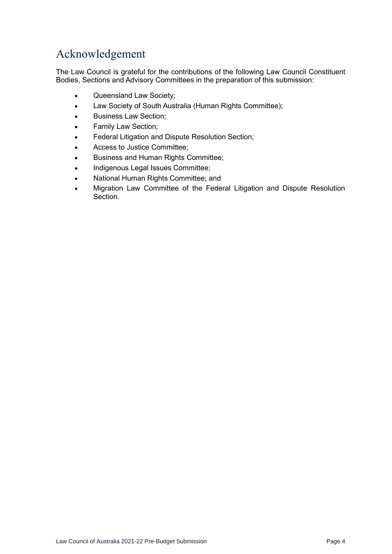# <span id="page-3-0"></span>Acknowledgement

The Law Council is grateful for the contributions of the following Law Council Constituent Bodies, Sections and Advisory Committees in the preparation of this submission:

- Queensland Law Society;
- Law Society of South Australia (Human Rights Committee);
- Business Law Section;
- Family Law Section;
- Federal Litigation and Dispute Resolution Section;
- Access to Justice Committee;
- Business and Human Rights Committee;
- Indigenous Legal Issues Committee;
- National Human Rights Committee; and
- Migration Law Committee of the Federal Litigation and Dispute Resolution Section.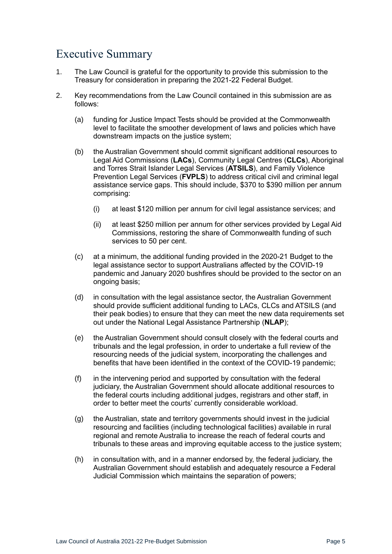# <span id="page-4-0"></span>Executive Summary

- 1. The Law Council is grateful for the opportunity to provide this submission to the Treasury for consideration in preparing the 2021-22 Federal Budget.
- 2. Key recommendations from the Law Council contained in this submission are as follows:
	- (a) funding for Justice Impact Tests should be provided at the Commonwealth level to facilitate the smoother development of laws and policies which have downstream impacts on the justice system;
	- (b) the Australian Government should commit significant additional resources to Legal Aid Commissions (**LACs**), Community Legal Centres (**CLCs**), Aboriginal and Torres Strait Islander Legal Services (**ATSILS**), and Family Violence Prevention Legal Services (**FVPLS**) to address critical civil and criminal legal assistance service gaps. This should include, \$370 to \$390 million per annum comprising:
		- (i) at least \$120 million per annum for civil legal assistance services; and
		- (ii) at least \$250 million per annum for other services provided by Legal Aid Commissions, restoring the share of Commonwealth funding of such services to 50 per cent.
	- (c) at a minimum, the additional funding provided in the 2020-21 Budget to the legal assistance sector to support Australians affected by the COVID-19 pandemic and January 2020 bushfires should be provided to the sector on an ongoing basis;
	- (d) in consultation with the legal assistance sector, the Australian Government should provide sufficient additional funding to LACs, CLCs and ATSILS (and their peak bodies) to ensure that they can meet the new data requirements set out under the National Legal Assistance Partnership (**NLAP**);
	- (e) the Australian Government should consult closely with the federal courts and tribunals and the legal profession, in order to undertake a full review of the resourcing needs of the judicial system, incorporating the challenges and benefits that have been identified in the context of the COVID-19 pandemic;
	- (f) in the intervening period and supported by consultation with the federal judiciary, the Australian Government should allocate additional resources to the federal courts including additional judges, registrars and other staff, in order to better meet the courts' currently considerable workload.
	- (g) the Australian, state and territory governments should invest in the judicial resourcing and facilities (including technological facilities) available in rural regional and remote Australia to increase the reach of federal courts and tribunals to these areas and improving equitable access to the justice system;
	- (h) in consultation with, and in a manner endorsed by, the federal judiciary, the Australian Government should establish and adequately resource a Federal Judicial Commission which maintains the separation of powers;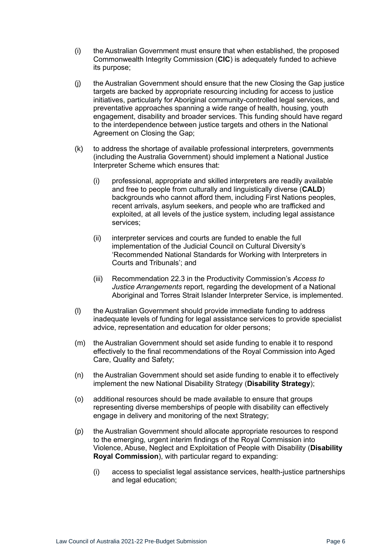- (i) the Australian Government must ensure that when established, the proposed Commonwealth Integrity Commission (**CIC**) is adequately funded to achieve its purpose;
- (j) the Australian Government should ensure that the new Closing the Gap justice targets are backed by appropriate resourcing including for access to justice initiatives, particularly for Aboriginal community-controlled legal services, and preventative approaches spanning a wide range of health, housing, youth engagement, disability and broader services. This funding should have regard to the interdependence between justice targets and others in the National Agreement on Closing the Gap;
- (k) to address the shortage of available professional interpreters, governments (including the Australia Government) should implement a National Justice Interpreter Scheme which ensures that:
	- (i) professional, appropriate and skilled interpreters are readily available and free to people from culturally and linguistically diverse (**CALD**) backgrounds who cannot afford them, including First Nations peoples, recent arrivals, asylum seekers, and people who are trafficked and exploited, at all levels of the justice system, including legal assistance services;
	- (ii) interpreter services and courts are funded to enable the full implementation of the Judicial Council on Cultural Diversity's 'Recommended National Standards for Working with Interpreters in Courts and Tribunals'; and
	- (iii) Recommendation 22.3 in the Productivity Commission's *Access to Justice Arrangements* report, regarding the development of a National Aboriginal and Torres Strait Islander Interpreter Service, is implemented.
- (l) the Australian Government should provide immediate funding to address inadequate levels of funding for legal assistance services to provide specialist advice, representation and education for older persons;
- (m) the Australian Government should set aside funding to enable it to respond effectively to the final recommendations of the Royal Commission into Aged Care, Quality and Safety;
- (n) the Australian Government should set aside funding to enable it to effectively implement the new National Disability Strategy (**Disability Strategy**);
- (o) additional resources should be made available to ensure that groups representing diverse memberships of people with disability can effectively engage in delivery and monitoring of the next Strategy;
- (p) the Australian Government should allocate appropriate resources to respond to the emerging, urgent interim findings of the Royal Commission into Violence, Abuse, Neglect and Exploitation of People with Disability (**Disability Royal Commission**), with particular regard to expanding:
	- (i) access to specialist legal assistance services, health-justice partnerships and legal education;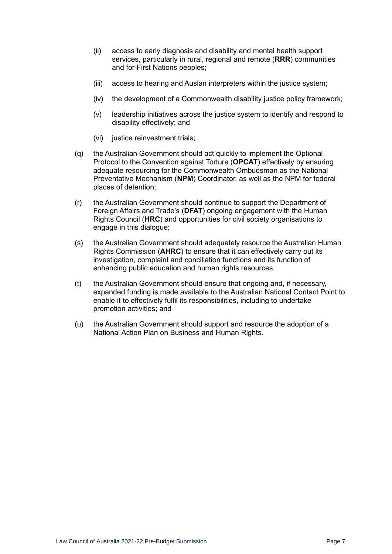- (ii) access to early diagnosis and disability and mental health support services, particularly in rural, regional and remote (**RRR**) communities and for First Nations peoples;
- (iii) access to hearing and Auslan interpreters within the justice system;
- (iv) the development of a Commonwealth disability justice policy framework;
- (v) leadership initiatives across the justice system to identify and respond to disability effectively; and
- (vi) justice reinvestment trials;
- (q) the Australian Government should act quickly to implement the Optional Protocol to the Convention against Torture (**OPCAT**) effectively by ensuring adequate resourcing for the Commonwealth Ombudsman as the National Preventative Mechanism (**NPM**) Coordinator, as well as the NPM for federal places of detention;
- (r) the Australian Government should continue to support the Department of Foreign Affairs and Trade's (**DFAT**) ongoing engagement with the Human Rights Council (**HRC**) and opportunities for civil society organisations to engage in this dialogue;
- (s) the Australian Government should adequately resource the Australian Human Rights Commission (**AHRC**) to ensure that it can effectively carry out its investigation, complaint and conciliation functions and its function of enhancing public education and human rights resources.
- (t) the Australian Government should ensure that ongoing and, if necessary, expanded funding is made available to the Australian National Contact Point to enable it to effectively fulfil its responsibilities, including to undertake promotion activities; and
- (u) the Australian Government should support and resource the adoption of a National Action Plan on Business and Human Rights.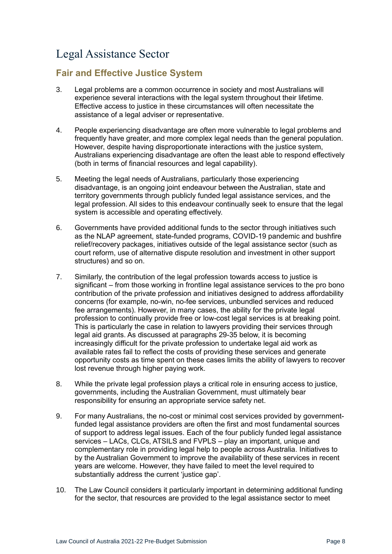# <span id="page-7-0"></span>Legal Assistance Sector

### <span id="page-7-1"></span>**Fair and Effective Justice System**

- <span id="page-7-2"></span>3. Legal problems are a common occurrence in society and most Australians will experience several interactions with the legal system throughout their lifetime. Effective access to justice in these circumstances will often necessitate the assistance of a legal adviser or representative.
- 4. People experiencing disadvantage are often more vulnerable to legal problems and frequently have greater, and more complex legal needs than the general population. However, despite having disproportionate interactions with the justice system, Australians experiencing disadvantage are often the least able to respond effectively (both in terms of financial resources and legal capability).
- 5. Meeting the legal needs of Australians, particularly those experiencing disadvantage, is an ongoing joint endeavour between the Australian, state and territory governments through publicly funded legal assistance services, and the legal profession. All sides to this endeavour continually seek to ensure that the legal system is accessible and operating effectively.
- 6. Governments have provided additional funds to the sector through initiatives such as the NLAP agreement, state-funded programs, COVID-19 pandemic and bushfire relief/recovery packages, initiatives outside of the legal assistance sector (such as court reform, use of alternative dispute resolution and investment in other support structures) and so on.
- 7. Similarly, the contribution of the legal profession towards access to justice is significant – from those working in frontline legal assistance services to the pro bono contribution of the private profession and initiatives designed to address affordability concerns (for example, no-win, no-fee services, unbundled services and reduced fee arrangements). However, in many cases, the ability for the private legal profession to continually provide free or low-cost legal services is at breaking point. This is particularly the case in relation to lawyers providing their services through legal aid grants. As discussed at paragraphs [29](#page-12-1)[-35](#page-13-1) below, it is becoming increasingly difficult for the private profession to undertake legal aid work as available rates fail to reflect the costs of providing these services and generate opportunity costs as time spent on these cases limits the ability of lawyers to recover lost revenue through higher paying work.
- 8. While the private legal profession plays a critical role in ensuring access to justice, governments, including the Australian Government, must ultimately bear responsibility for ensuring an appropriate service safety net.
- 9. For many Australians, the no-cost or minimal cost services provided by governmentfunded legal assistance providers are often the first and most fundamental sources of support to address legal issues. Each of the four publicly funded legal assistance services – LACs, CLCs, ATSILS and FVPLS – play an important, unique and complementary role in providing legal help to people across Australia. Initiatives to by the Australian Government to improve the availability of these services in recent years are welcome. However, they have failed to meet the level required to substantially address the current 'justice gap'.
- 10. The Law Council considers it particularly important in determining additional funding for the sector, that resources are provided to the legal assistance sector to meet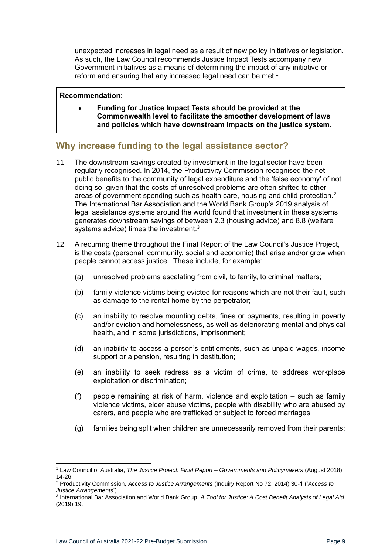unexpected increases in legal need as a result of new policy initiatives or legislation. As such, the Law Council recommends Justice Impact Tests accompany new Government initiatives as a means of determining the impact of any initiative or reform and ensuring that any increased legal need can be met.<sup>1</sup>

#### **Recommendation:**

• **Funding for Justice Impact Tests should be provided at the Commonwealth level to facilitate the smoother development of laws and policies which have downstream impacts on the justice system.**

### <span id="page-8-0"></span>**Why increase funding to the legal assistance sector?**

- 11. The downstream savings created by investment in the legal sector have been regularly recognised. In 2014, the Productivity Commission recognised the net public benefits to the community of legal expenditure and the 'false economy' of not doing so, given that the costs of unresolved problems are often shifted to other areas of government spending such as health care, housing and child protection.<sup>2</sup> The International Bar Association and the World Bank Group's 2019 analysis of legal assistance systems around the world found that investment in these systems generates downstream savings of between 2.3 (housing advice) and 8.8 (welfare systems advice) times the investment.<sup>3</sup>
- 12. A recurring theme throughout the Final Report of the Law Council's Justice Project, is the costs (personal, community, social and economic) that arise and/or grow when people cannot access justice. These include, for example:
	- (a) unresolved problems escalating from civil, to family, to criminal matters;
	- (b) family violence victims being evicted for reasons which are not their fault, such as damage to the rental home by the perpetrator;
	- (c) an inability to resolve mounting debts, fines or payments, resulting in poverty and/or eviction and homelessness, as well as deteriorating mental and physical health, and in some jurisdictions, imprisonment;
	- (d) an inability to access a person's entitlements, such as unpaid wages, income support or a pension, resulting in destitution;
	- (e) an inability to seek redress as a victim of crime, to address workplace exploitation or discrimination;
	- (f) people remaining at risk of harm, violence and exploitation such as family violence victims, elder abuse victims, people with disability who are abused by carers, and people who are trafficked or subject to forced marriages;
	- (g) families being split when children are unnecessarily removed from their parents;

<sup>1</sup> Law Council of Australia, *The Justice Project: Final Report – Governments and Policymakers* (August 2018) 14-26.

<sup>2</sup> Productivity Commission, *Access to Justice Arrangements* (Inquiry Report No 72, 2014) 30-1 ('*Access to Justice Arrangements*').

<sup>3</sup> International Bar Association and World Bank Group, *A Tool for Justice: A Cost Benefit Analysis of Legal Aid*  (2019) 19.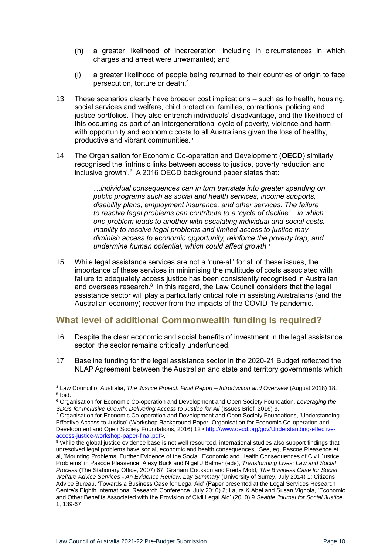- (h) a greater likelihood of incarceration, including in circumstances in which charges and arrest were unwarranted; and
- (i) a greater likelihood of people being returned to their countries of origin to face persecution, torture or death.<sup>4</sup>
- 13. These scenarios clearly have broader cost implications such as to health, housing, social services and welfare, child protection, families, corrections, policing and justice portfolios. They also entrench individuals' disadvantage, and the likelihood of this occurring as part of an intergenerational cycle of poverty, violence and harm – with opportunity and economic costs to all Australians given the loss of healthy, productive and vibrant communities.<sup>5</sup>
- 14. The Organisation for Economic Co-operation and Development (**OECD**) similarly recognised the 'intrinsic links between access to justice, poverty reduction and inclusive growth'.<sup>6</sup> A 2016 OECD background paper states that:

*…individual consequences can in turn translate into greater spending on public programs such as social and health services, income supports, disability plans, employment insurance, and other services. The failure to resolve legal problems can contribute to a 'cycle of decline'…in which one problem leads to another with escalating individual and social costs. Inability to resolve legal problems and limited access to justice may diminish access to economic opportunity, reinforce the poverty trap, and undermine human potential, which could affect growth.*<sup>7</sup>

15. While legal assistance services are not a 'cure-all' for all of these issues, the importance of these services in minimising the multitude of costs associated with failure to adequately access justice has been consistently recognised in Australian and overseas research.<sup>8</sup> In this regard, the Law Council considers that the legal assistance sector will play a particularly critical role in assisting Australians (and the Australian economy) recover from the impacts of the COVID-19 pandemic.

### <span id="page-9-0"></span>**What level of additional Commonwealth funding is required?**

- 16. Despite the clear economic and social benefits of investment in the legal assistance sector, the sector remains critically underfunded.
- 17. Baseline funding for the legal assistance sector in the 2020-21 Budget reflected the NLAP Agreement between the Australian and state and territory governments which

<sup>4</sup> Law Council of Australia, *The Justice Project: Final Report – Introduction and Overview* (August 2018) 18. 5 Ibid.

<sup>6</sup> Organisation for Economic Co-operation and Development and Open Society Foundation, *Leveraging the SDGs for Inclusive Growth: Delivering Access to Justice for All* (Issues Brief, 2016) 3.

<sup>7</sup> Organisation for Economic Co-operation and Development and Open Society Foundations, 'Understanding Effective Access to Justice' (Workshop Background Paper, Organisation for Economic Co-operation and Development and Open Society Foundations, 2016) 12 [<http://www.oecd.org/gov/Understanding-effective](http://www.oecd.org/gov/Understanding-effective-access-justice-workshop-paper-final.pdf)[access-justice-workshop-paper-final.pdf>](http://www.oecd.org/gov/Understanding-effective-access-justice-workshop-paper-final.pdf).

<sup>&</sup>lt;sup>8</sup> While the global justice evidence base is not well resourced, international studies also support findings that unresolved legal problems have social, economic and health consequences. See, eg, Pascoe Pleasence et al, 'Mounting Problems: Further Evidence of the Social, Economic and Health Consequences of Civil Justice Problems' in Pascoe Pleasence, Alexy Buck and Nigel J Balmer (eds), *Transforming Lives: Law and Social Process* (The Stationary Office, 2007) 67; Graham Cookson and Freda Mold, *The Business Case for Social Welfare Advice Services - An Evidence Review: Lay Summary* (University of Surrey, July 2014) 1; Citizens Advice Bureau, 'Towards a Business Case for Legal Aid' (Paper presented at the Legal Services Research Centre's Eighth International Research Conference, July 2010) 2; Laura K Abel and Susan Vignola, 'Economic and Other Benefits Associated with the Provision of Civil Legal Aid' (2010) 9 *Seattle Journal for Social Justice*  1, 139-67.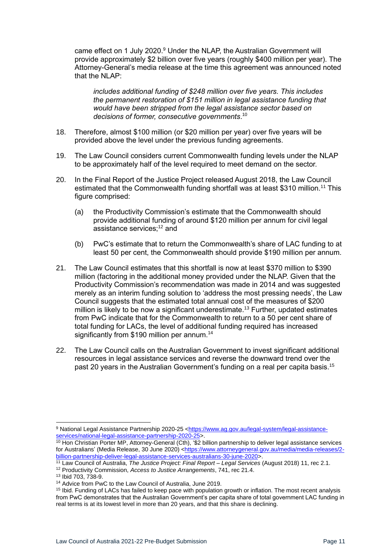came effect on 1 July 2020.<sup>9</sup> Under the NLAP, the Australian Government will provide approximately \$2 billion over five years (roughly \$400 million per year). The Attorney-General's media release at the time this agreement was announced noted that the NLAP:

*includes additional funding of \$248 million over five years. This includes the permanent restoration of \$151 million in legal assistance funding that would have been stripped from the legal assistance sector based on decisions of former, consecutive governments*. 10

- 18. Therefore, almost \$100 million (or \$20 million per year) over five years will be provided above the level under the previous funding agreements.
- 19. The Law Council considers current Commonwealth funding levels under the NLAP to be approximately half of the level required to meet demand on the sector.
- 20. In the Final Report of the Justice Project released August 2018, the Law Council estimated that the Commonwealth funding shortfall was at least \$310 million.<sup>11</sup> This figure comprised:
	- (a) the Productivity Commission's estimate that the Commonwealth should provide additional funding of around \$120 million per annum for civil legal assistance services:<sup>12</sup> and
	- (b) PwC's estimate that to return the Commonwealth's share of LAC funding to at least 50 per cent, the Commonwealth should provide \$190 million per annum.
- 21. The Law Council estimates that this shortfall is now at least \$370 million to \$390 million (factoring in the additional money provided under the NLAP. Given that the Productivity Commission's recommendation was made in 2014 and was suggested merely as an interim funding solution to 'address the most pressing needs', the Law Council suggests that the estimated total annual cost of the measures of \$200 million is likely to be now a significant underestimate.<sup>13</sup> Further, updated estimates from PwC indicate that for the Commonwealth to return to a 50 per cent share of total funding for LACs, the level of additional funding required has increased significantly from \$190 million per annum.<sup>14</sup>
- 22. The Law Council calls on the Australian Government to invest significant additional resources in legal assistance services and reverse the downward trend over the past 20 years in the Australian Government's funding on a real per capita basis.<sup>15</sup>

<sup>9</sup> National Legal Assistance Partnership 2020-25 [<https://www.ag.gov.au/legal-system/legal-assistance](https://www.ag.gov.au/legal-system/legal-assistance-services/national-legal-assistance-partnership-2020-25)[services/national-legal-assistance-partnership-2020-25>](https://www.ag.gov.au/legal-system/legal-assistance-services/national-legal-assistance-partnership-2020-25).

<sup>10</sup> Hon Christian Porter MP, Attorney-General (Cth), '\$2 billion partnership to deliver legal assistance services for Australians' (Media Release, 30 June 2020) [<https://www.attorneygeneral.gov.au/media/media-releases/2](https://www.attorneygeneral.gov.au/media/media-releases/2-billion-partnership-deliver-legal-assistance-services-australians-30-june-2020) [billion-partnership-deliver-legal-assistance-services-australians-30-june-2020>](https://www.attorneygeneral.gov.au/media/media-releases/2-billion-partnership-deliver-legal-assistance-services-australians-30-june-2020).

<sup>11</sup> Law Council of Australia, *The Justice Project: Final Report – Legal Services* (August 2018) 11, rec 2.1.

<sup>12</sup> Productivity Commission, *Access to Justice Arrangements*, 741, rec 21.4.

<sup>13</sup> Ibid 703, 738-9.

<sup>&</sup>lt;sup>14</sup> Advice from PwC to the Law Council of Australia, June 2019.

<sup>&</sup>lt;sup>15</sup> Ibid. Funding of LACs has failed to keep pace with population growth or inflation. The most recent analysis from PwC demonstrates that the Australian Government's per capita share of total government LAC funding in real terms is at its lowest level in more than 20 years, and that this share is declining.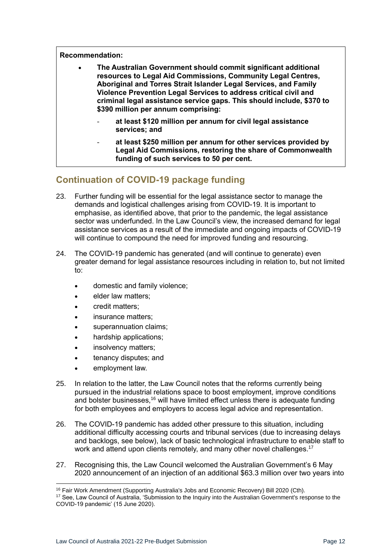**Recommendation:**

| $\bullet$ | The Australian Government should commit significant additional<br>resources to Legal Aid Commissions, Community Legal Centres,<br>Aboriginal and Torres Strait Islander Legal Services, and Family<br>Violence Prevention Legal Services to address critical civil and<br>criminal legal assistance service gaps. This should include, \$370 to |
|-----------|-------------------------------------------------------------------------------------------------------------------------------------------------------------------------------------------------------------------------------------------------------------------------------------------------------------------------------------------------|
|           | \$390 million per annum comprising:                                                                                                                                                                                                                                                                                                             |

- **at least \$120 million per annum for civil legal assistance services; and**
- **at least \$250 million per annum for other services provided by Legal Aid Commissions, restoring the share of Commonwealth funding of such services to 50 per cent.**

### <span id="page-11-0"></span>**Continuation of COVID-19 package funding**

- 23. Further funding will be essential for the legal assistance sector to manage the demands and logistical challenges arising from COVID-19. It is important to emphasise, as identified above, that prior to the pandemic, the legal assistance sector was underfunded. In the Law Council's view, the increased demand for legal assistance services as a result of the immediate and ongoing impacts of COVID-19 will continue to compound the need for improved funding and resourcing.
- 24. The COVID-19 pandemic has generated (and will continue to generate) even greater demand for legal assistance resources including in relation to, but not limited to:
	- domestic and family violence;
	- elder law matters;
	- credit matters;
	- insurance matters;
	- superannuation claims;
	- hardship applications;
	- insolvency matters;
	- tenancy disputes; and
	- employment law.
- 25. In relation to the latter, the Law Council notes that the reforms currently being pursued in the industrial relations space to boost employment, improve conditions and bolster businesses,<sup>16</sup> will have limited effect unless there is adequate funding for both employees and employers to access legal advice and representation.
- 26. The COVID-19 pandemic has added other pressure to this situation, including additional difficulty accessing courts and tribunal services (due to increasing delays and backlogs, see below), lack of basic technological infrastructure to enable staff to work and attend upon clients remotely, and many other novel challenges.<sup>17</sup>
- 27. Recognising this, the Law Council welcomed the Australian Government's 6 May 2020 announcement of an injection of an additional \$63.3 million over two years into

<sup>&</sup>lt;sup>16</sup> Fair Work Amendment (Supporting Australia's Jobs and Economic Recovery) Bill 2020 (Cth).

<sup>17</sup> See, Law Council of Australia, 'Submission to the Inquiry into the Australian Government's response to the COVID-19 pandemic' (15 June 2020).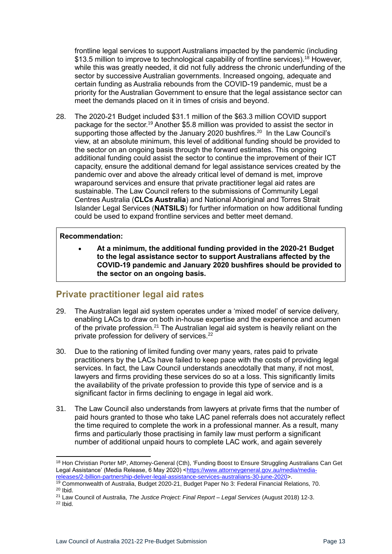frontline legal services to support Australians impacted by the pandemic (including \$13.5 million to improve to technological capability of frontline services).<sup>18</sup> However, while this was greatly needed, it did not fully address the chronic underfunding of the sector by successive Australian governments. Increased ongoing, adequate and certain funding as Australia rebounds from the COVID-19 pandemic, must be a priority for the Australian Government to ensure that the legal assistance sector can meet the demands placed on it in times of crisis and beyond.

28. The 2020-21 Budget included \$31.1 million of the \$63.3 million COVID support package for the sector.<sup>19</sup> Another \$5.8 million was provided to assist the sector in supporting those affected by the January 2020 bushfires.<sup>20</sup> In the Law Council's view, at an absolute minimum, this level of additional funding should be provided to the sector on an ongoing basis through the forward estimates. This ongoing additional funding could assist the sector to continue the improvement of their ICT capacity, ensure the additional demand for legal assistance services created by the pandemic over and above the already critical level of demand is met, improve wraparound services and ensure that private practitioner legal aid rates are sustainable. The Law Council refers to the submissions of Community Legal Centres Australia (**CLCs Australia**) and National Aboriginal and Torres Strait Islander Legal Services (**NATSILS**) for further information on how additional funding could be used to expand frontline services and better meet demand.

#### **Recommendation:**

• **At a minimum, the additional funding provided in the 2020-21 Budget to the legal assistance sector to support Australians affected by the COVID-19 pandemic and January 2020 bushfires should be provided to the sector on an ongoing basis.** 

### <span id="page-12-0"></span>**Private practitioner legal aid rates**

- <span id="page-12-1"></span>29. The Australian legal aid system operates under a 'mixed model' of service delivery, enabling LACs to draw on both in-house expertise and the experience and acumen of the private profession.<sup>21</sup> The Australian legal aid system is heavily reliant on the private profession for delivery of services.<sup>22</sup>
- 30. Due to the rationing of limited funding over many years, rates paid to private practitioners by the LACs have failed to keep pace with the costs of providing legal services. In fact, the Law Council understands anecdotally that many, if not most, lawyers and firms providing these services do so at a loss. This significantly limits the availability of the private profession to provide this type of service and is a significant factor in firms declining to engage in legal aid work.
- 31. The Law Council also understands from lawyers at private firms that the number of paid hours granted to those who take LAC panel referrals does not accurately reflect the time required to complete the work in a professional manner. As a result, many firms and particularly those practising in family law must perform a significant number of additional unpaid hours to complete LAC work, and again severely

<sup>&</sup>lt;sup>18</sup> Hon Christian Porter MP, Attorney-General (Cth), 'Funding Boost to Ensure Struggling Australians Can Get Legal Assistance' (Media Release, 6 May 2020) [<https://www.attorneygeneral.gov.au/media/media](https://www.attorneygeneral.gov.au/media/media-releases/2-billion-partnership-deliver-legal-assistance-services-australians-30-june-2020)[releases/2-billion-partnership-deliver-legal-assistance-services-australians-30-june-2020>](https://www.attorneygeneral.gov.au/media/media-releases/2-billion-partnership-deliver-legal-assistance-services-australians-30-june-2020).

<sup>19</sup> Commonwealth of Australia, Budget 2020-21, Budget Paper No 3: Federal Financial Relations, 70.  $20$  Ibid.

<sup>21</sup> Law Council of Australia, *The Justice Project: Final Report – Legal Services* (August 2018) 12-3.

 $22$  Ibid.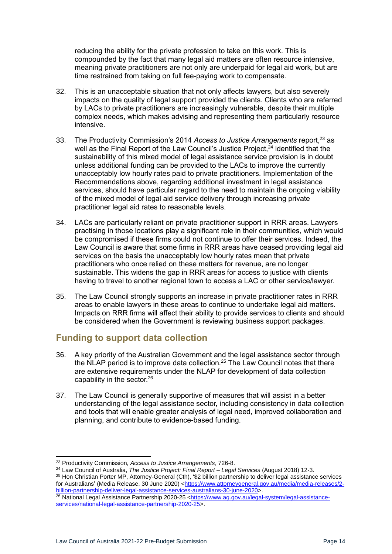reducing the ability for the private profession to take on this work. This is compounded by the fact that many legal aid matters are often resource intensive, meaning private practitioners are not only are underpaid for legal aid work, but are time restrained from taking on full fee-paying work to compensate.

- 32. This is an unacceptable situation that not only affects lawyers, but also severely impacts on the quality of legal support provided the clients. Clients who are referred by LACs to private practitioners are increasingly vulnerable, despite their multiple complex needs, which makes advising and representing them particularly resource intensive.
- 33. The Productivity Commission's 2014 *Access to Justice Arrangements* report,<sup>23</sup> as well as the Final Report of the Law Council's Justice Project,<sup>24</sup> identified that the sustainability of this mixed model of legal assistance service provision is in doubt unless additional funding can be provided to the LACs to improve the currently unacceptably low hourly rates paid to private practitioners. Implementation of the Recommendations above, regarding additional investment in legal assistance services, should have particular regard to the need to maintain the ongoing viability of the mixed model of legal aid service delivery through increasing private practitioner legal aid rates to reasonable levels.
- <span id="page-13-2"></span>34. LACs are particularly reliant on private practitioner support in RRR areas. Lawyers practising in those locations play a significant role in their communities, which would be compromised if these firms could not continue to offer their services. Indeed, the Law Council is aware that some firms in RRR areas have ceased providing legal aid services on the basis the unacceptably low hourly rates mean that private practitioners who once relied on these matters for revenue, are no longer sustainable. This widens the gap in RRR areas for access to justice with clients having to travel to another regional town to access a LAC or other service/lawyer.
- <span id="page-13-1"></span>35. The Law Council strongly supports an increase in private practitioner rates in RRR areas to enable lawyers in these areas to continue to undertake legal aid matters. Impacts on RRR firms will affect their ability to provide services to clients and should be considered when the Government is reviewing business support packages.

### <span id="page-13-0"></span>**Funding to support data collection**

- 36. A key priority of the Australian Government and the legal assistance sector through the NLAP period is to improve data collection.<sup>25</sup> The Law Council notes that there are extensive requirements under the NLAP for development of data collection capability in the sector. 26
- 37. The Law Council is generally supportive of measures that will assist in a better understanding of the legal assistance sector, including consistency in data collection and tools that will enable greater analysis of legal need, improved collaboration and planning, and contribute to evidence-based funding.

<sup>25</sup> Hon Christian Porter MP, Attorney-General (Cth), '\$2 billion partnership to deliver legal assistance services for Australians' (Media Release, 30 June 2020) [<https://www.attorneygeneral.gov.au/media/media-releases/2](https://www.attorneygeneral.gov.au/media/media-releases/2-billion-partnership-deliver-legal-assistance-services-australians-30-june-2020) [billion-partnership-deliver-legal-assistance-services-australians-30-june-2020>](https://www.attorneygeneral.gov.au/media/media-releases/2-billion-partnership-deliver-legal-assistance-services-australians-30-june-2020).

<sup>23</sup> Productivity Commission, *Access to Justice Arrangements*, 726-8.

<sup>24</sup> Law Council of Australia, *The Justice Project: Final Report – Legal Services* (August 2018) 12-3.

<sup>&</sup>lt;sup>26</sup> National Legal Assistance Partnership 2020-25 [<https://www.ag.gov.au/legal-system/legal-assistance](https://www.ag.gov.au/legal-system/legal-assistance-services/national-legal-assistance-partnership-2020-25)[services/national-legal-assistance-partnership-2020-25>](https://www.ag.gov.au/legal-system/legal-assistance-services/national-legal-assistance-partnership-2020-25).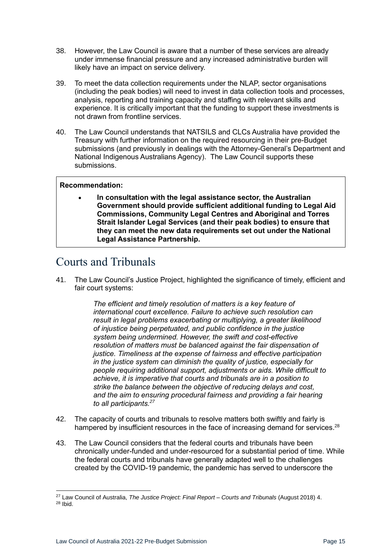- 38. However, the Law Council is aware that a number of these services are already under immense financial pressure and any increased administrative burden will likely have an impact on service delivery.
- 39. To meet the data collection requirements under the NLAP, sector organisations (including the peak bodies) will need to invest in data collection tools and processes, analysis, reporting and training capacity and staffing with relevant skills and experience. It is critically important that the funding to support these investments is not drawn from frontline services.
- <span id="page-14-1"></span>40. The Law Council understands that NATSILS and CLCs Australia have provided the Treasury with further information on the required resourcing in their pre-Budget submissions (and previously in dealings with the Attorney-General's Department and National Indigenous Australians Agency). The Law Council supports these submissions.

### **Recommendation:**

• **In consultation with the legal assistance sector, the Australian Government should provide sufficient additional funding to Legal Aid Commissions, Community Legal Centres and Aboriginal and Torres Strait Islander Legal Services (and their peak bodies) to ensure that they can meet the new data requirements set out under the National Legal Assistance Partnership.** 

### <span id="page-14-0"></span>Courts and Tribunals

41. The Law Council's Justice Project, highlighted the significance of timely, efficient and fair court systems:

> *The efficient and timely resolution of matters is a key feature of international court excellence. Failure to achieve such resolution can result in legal problems exacerbating or multiplying, a greater likelihood of injustice being perpetuated, and public confidence in the justice system being undermined. However, the swift and cost-effective resolution of matters must be balanced against the fair dispensation of justice. Timeliness at the expense of fairness and effective participation in the justice system can diminish the quality of justice, especially for people requiring additional support, adjustments or aids. While difficult to achieve, it is imperative that courts and tribunals are in a position to strike the balance between the objective of reducing delays and cost, and the aim to ensuring procedural fairness and providing a fair hearing to all participants.<sup>27</sup>*

- 42. The capacity of courts and tribunals to resolve matters both swiftly and fairly is hampered by insufficient resources in the face of increasing demand for services.<sup>28</sup>
- 43. The Law Council considers that the federal courts and tribunals have been chronically under-funded and under-resourced for a substantial period of time. While the federal courts and tribunals have generally adapted well to the challenges created by the COVID-19 pandemic, the pandemic has served to underscore the

<sup>27</sup> Law Council of Australia, *The Justice Project: Final Report – Courts and Tribunals* (August 2018) 4. <sup>28</sup> Ibid.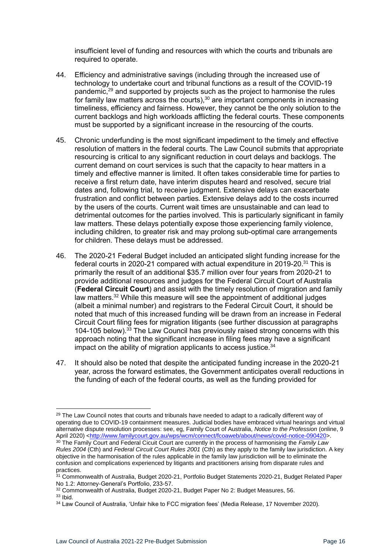insufficient level of funding and resources with which the courts and tribunals are required to operate.

- 44. Efficiency and administrative savings (including through the increased use of technology to undertake court and tribunal functions as a result of the COVID-19 pandemic, <sup>29</sup> and supported by projects such as the project to harmonise the rules for family law matters across the courts), $30$  are important components in increasing timeliness, efficiency and fairness. However, they cannot be the only solution to the current backlogs and high workloads afflicting the federal courts. These components must be supported by a significant increase in the resourcing of the courts.
- 45. Chronic underfunding is the most significant impediment to the timely and effective resolution of matters in the federal courts. The Law Council submits that appropriate resourcing is critical to any significant reduction in court delays and backlogs. The current demand on court services is such that the capacity to hear matters in a timely and effective manner is limited. It often takes considerable time for parties to receive a first return date, have interim disputes heard and resolved, secure trial dates and, following trial, to receive judgment. Extensive delays can exacerbate frustration and conflict between parties. Extensive delays add to the costs incurred by the users of the courts. Current wait times are unsustainable and can lead to detrimental outcomes for the parties involved. This is particularly significant in family law matters. These delays potentially expose those experiencing family violence, including children, to greater risk and may prolong sub-optimal care arrangements for children. These delays must be addressed.
- 46. The 2020-21 Federal Budget included an anticipated slight funding increase for the federal courts in 2020-21 compared with actual expenditure in 2019-20.<sup>31</sup> This is primarily the result of an additional \$35.7 million over four years from 2020-21 to provide additional resources and judges for the Federal Circuit Court of Australia (**Federal Circuit Court**) and assist with the timely resolution of migration and family law matters. $32$  While this measure will see the appointment of additional judges (albeit a minimal number) and registrars to the Federal Circuit Court, it should be noted that much of this increased funding will be drawn from an increase in Federal Circuit Court filing fees for migration litigants (see further discussion at paragraphs [104](#page-27-1)[-105](#page-27-2) below). <sup>33</sup> The Law Council has previously raised strong concerns with this approach noting that the significant increase in filing fees may have a significant impact on the ability of migration applicants to access justice.  $34$
- 47. It should also be noted that despite the anticipated funding increase in the 2020-21 year, across the forward estimates, the Government anticipates overall reductions in the funding of each of the federal courts, as well as the funding provided for

<sup>&</sup>lt;sup>29</sup> The Law Council notes that courts and tribunals have needed to adapt to a radically different way of operating due to COVID-19 containment measures. Judicial bodies have embraced virtual hearings and virtual alternative dispute resolution processes: see, eg, Family Court of Australia, *Notice to the Profession* (online, 9 April 2020) [<http://www.familycourt.gov.au/wps/wcm/connect/fcoaweb/about/news/covid-notice-090420>](http://www.familycourt.gov.au/wps/wcm/connect/fcoaweb/about/news/covid-notice-090420).

<sup>30</sup> The Family Court and Federal Cicuit Court are currently in the process of harmonising the *Family Law Rules 2004* (Cth) and *Federal Circuit Court Rules 2001* (Cth) as they apply to the family law jurisdiction. A key objective in the harmonisation of the rules applicable in the family law jurisdiction will be to eliminate the confusion and complications experienced by litigants and practitioners arising from disparate rules and practices.

<sup>&</sup>lt;sup>31</sup> Commonwealth of Australia, Budget 2020-21, Portfolio Budget Statements 2020-21, Budget Related Paper No 1.2: Attorney-General's Portfolio, 233-57.

<sup>32</sup> Commonwealth of Australia, Budget 2020-21, Budget Paper No 2: Budget Measures, 56.

<sup>33</sup> Ibid.

<sup>34</sup> Law Council of Australia, 'Unfair hike to FCC migration fees' (Media Release, 17 November 2020).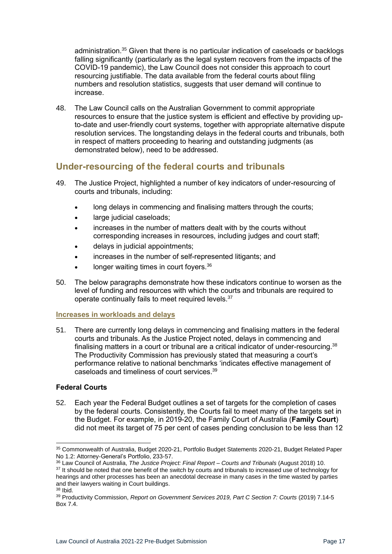administration.<sup>35</sup> Given that there is no particular indication of caseloads or backlogs falling significantly (particularly as the legal system recovers from the impacts of the COVID-19 pandemic), the Law Council does not consider this approach to court resourcing justifiable. The data available from the federal courts about filing numbers and resolution statistics, suggests that user demand will continue to increase.

48. The Law Council calls on the Australian Government to commit appropriate resources to ensure that the justice system is efficient and effective by providing upto-date and user-friendly court systems, together with appropriate alternative dispute resolution services. The longstanding delays in the federal courts and tribunals, both in respect of matters proceeding to hearing and outstanding judgments (as demonstrated below), need to be addressed.

### <span id="page-16-0"></span>**Under-resourcing of the federal courts and tribunals**

- 49. The Justice Project, highlighted a number of key indicators of under-resourcing of courts and tribunals, including:
	- long delays in commencing and finalising matters through the courts;
	- large judicial caseloads;
	- increases in the number of matters dealt with by the courts without corresponding increases in resources, including judges and court staff;
	- delays in judicial appointments;
	- increases in the number of self-represented litigants; and
	- longer waiting times in court foyers.<sup>36</sup>
- 50. The below paragraphs demonstrate how these indicators continue to worsen as the level of funding and resources with which the courts and tribunals are required to operate continually fails to meet required levels.<sup>37</sup>

### <span id="page-16-1"></span>**Increases in workloads and delays**

51. There are currently long delays in commencing and finalising matters in the federal courts and tribunals. As the Justice Project noted, delays in commencing and finalising matters in a court or tribunal are a critical indicator of under-resourcing. $38$ The Productivity Commission has previously stated that measuring a court's performance relative to national benchmarks 'indicates effective management of caseloads and timeliness of court services. 39

### <span id="page-16-2"></span>**Federal Courts**

<span id="page-16-3"></span>52. Each year the Federal Budget outlines a set of targets for the completion of cases by the federal courts. Consistently, the Courts fail to meet many of the targets set in the Budget. For example, in 2019-20, the Family Court of Australia (**Family Court**) did not meet its target of 75 per cent of cases pending conclusion to be less than 12

<sup>37</sup> It should be noted that one benefit of the switch by courts and tribunals to increased use of technology for hearings and other processes has been an anecdotal decrease in many cases in the time wasted by parties and their lawyers waiting in Court buildings.

<sup>35</sup> Commonwealth of Australia, Budget 2020-21, Portfolio Budget Statements 2020-21, Budget Related Paper No 1.2: Attorney-General's Portfolio, 233-57.

<sup>36</sup> Law Council of Australia, *The Justice Project: Final Report – Courts and Tribunals* (August 2018) 10.

<sup>38</sup> Ibid.

<sup>&</sup>lt;sup>39</sup> Productivity Commission, *Report on Government Services 2019, Part C Section 7: Courts (2019) 7.14-5* Box 7.4.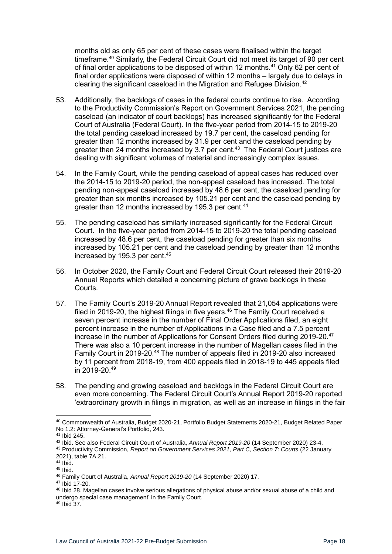months old as only 65 per cent of these cases were finalised within the target timeframe.<sup>40</sup> Similarly, the Federal Circuit Court did not meet its target of 90 per cent of final order applications to be disposed of within 12 months.<sup>41</sup> Only 62 per cent of final order applications were disposed of within 12 months – largely due to delays in clearing the significant caseload in the Migration and Refugee Division. $42$ 

- 53. Additionally, the backlogs of cases in the federal courts continue to rise. According to the Productivity Commission's Report on Government Services 2021, the pending caseload (an indicator of court backlogs) has increased significantly for the Federal Court of Australia (Federal Court). In the five-year period from 2014-15 to 2019-20 the total pending caseload increased by 19.7 per cent, the caseload pending for greater than 12 months increased by 31.9 per cent and the caseload pending by greater than 24 months increased by 3.7 per cent.<sup>43</sup> The Federal Court justices are dealing with significant volumes of material and increasingly complex issues.
- 54. In the Family Court, while the pending caseload of appeal cases has reduced over the 2014-15 to 2019-20 period, the non-appeal caseload has increased. The total pending non-appeal caseload increased by 48.6 per cent, the caseload pending for greater than six months increased by 105.21 per cent and the caseload pending by greater than 12 months increased by 195.3 per cent.<sup>44</sup>
- 55. The pending caseload has similarly increased significantly for the Federal Circuit Court. In the five-year period from 2014-15 to 2019-20 the total pending caseload increased by 48.6 per cent, the caseload pending for greater than six months increased by 105.21 per cent and the caseload pending by greater than 12 months increased by 195.3 per cent.<sup>45</sup>
- 56. In October 2020, the Family Court and Federal Circuit Court released their 2019-20 Annual Reports which detailed a concerning picture of grave backlogs in these Courts.
- 57. The Family Court's 2019-20 Annual Report revealed that 21,054 applications were filed in 2019-20, the highest filings in five years.<sup>46</sup> The Family Court received a seven percent increase in the number of Final Order Applications filed, an eight percent increase in the number of Applications in a Case filed and a 7.5 percent increase in the number of Applications for Consent Orders filed during 2019-20.<sup>47</sup> There was also a 10 percent increase in the number of Magellan cases filed in the Family Court in 2019-20.<sup>48</sup> The number of appeals filed in 2019-20 also increased by 11 percent from 2018-19, from 400 appeals filed in 2018-19 to 445 appeals filed in 2019-20.<sup>49</sup>
- 58. The pending and growing caseload and backlogs in the Federal Circuit Court are even more concerning. The Federal Circuit Court's Annual Report 2019-20 reported 'extraordinary growth in filings in migration, as well as an increase in filings in the fair

<sup>40</sup> Commonwealth of Australia, Budget 2020-21, Portfolio Budget Statements 2020-21, Budget Related Paper No 1.2: Attorney-General's Portfolio, 243.

<sup>41</sup> Ibid 245.

<sup>42</sup> Ibid. See also Federal Circuit Court of Australia, *Annual Report 2019-20* (14 September 2020) 23-4. <sup>43</sup> Productivity Commission, *Report on Government Services 2021, Part C, Section 7: Courts* (22 January 2021), table 7A.21.

 $44$  Ibid. <sup>45</sup> Ibid.

<sup>46</sup> Family Court of Australia, *Annual Report 2019-20* (14 September 2020) 17.

<sup>47</sup> Ibid 17-20.

<sup>48</sup> Ibid 28. Magellan cases involve serious allegations of physical abuse and/or sexual abuse of a child and undergo special case management' in the Family Court.

<sup>49</sup> Ibid 37.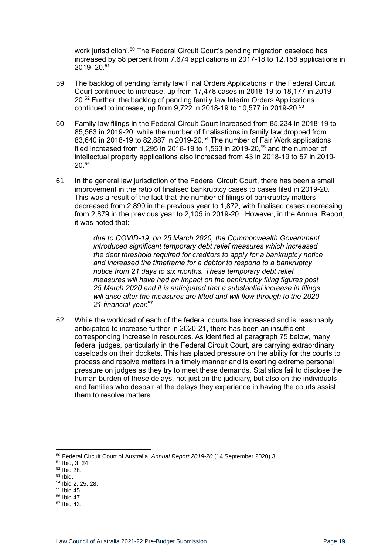work jurisdiction<sup>'.50</sup> The Federal Circuit Court's pending migration caseload has increased by 58 percent from 7,674 applications in 2017-18 to 12,158 applications in 2019–20.<sup>51</sup>

- 59. The backlog of pending family law Final Orders Applications in the Federal Circuit Court continued to increase, up from 17,478 cases in 2018-19 to 18,177 in 2019- 20.<sup>52</sup> Further, the backlog of pending family law Interim Orders Applications continued to increase, up from 9,722 in 2018-19 to 10,577 in 2019-20.<sup>53</sup>
- 60. Family law filings in the Federal Circuit Court increased from 85,234 in 2018-19 to 85,563 in 2019-20, while the number of finalisations in family law dropped from 83,640 in 2018-19 to 82,887 in 2019-20.<sup>54</sup> The number of Fair Work applications filed increased from 1,295 in 2018-19 to 1,563 in 2019-20.<sup>55</sup> and the number of intellectual property applications also increased from 43 in 2018-19 to 57 in 2019- 20.<sup>56</sup>
- 61. In the general law jurisdiction of the Federal Circuit Court, there has been a small improvement in the ratio of finalised bankruptcy cases to cases filed in 2019-20. This was a result of the fact that the number of filings of bankruptcy matters decreased from 2,890 in the previous year to 1,872, with finalised cases decreasing from 2,879 in the previous year to 2,105 in 2019-20. However, in the Annual Report, it was noted that:

*due to COVID-19, on 25 March 2020, the Commonwealth Government introduced significant temporary debt relief measures which increased the debt threshold required for creditors to apply for a bankruptcy notice and increased the timeframe for a debtor to respond to a bankruptcy notice from 21 days to six months. These temporary debt relief measures will have had an impact on the bankruptcy filing figures post 25 March 2020 and it is anticipated that a substantial increase in filings will arise after the measures are lifted and will flow through to the 2020– 21 financial year.*<sup>57</sup>

<span id="page-18-0"></span>62. While the workload of each of the federal courts has increased and is reasonably anticipated to increase further in 2020-21, there has been an insufficient corresponding increase in resources. As identified at paragraph [75](#page-21-0) below, many federal judges, particularly in the Federal Circuit Court, are carrying extraordinary caseloads on their dockets. This has placed pressure on the ability for the courts to process and resolve matters in a timely manner and is exerting extreme personal pressure on judges as they try to meet these demands. Statistics fail to disclose the human burden of these delays, not just on the judiciary, but also on the individuals and families who despair at the delays they experience in having the courts assist them to resolve matters.

- <sup>54</sup> Ibid 2, 25, 28.  $55$  Ibid  $45$ .
- <sup>56</sup> Ibid 47.
- <sup>57</sup> Ibid 43.
- Law Council of Australia 2021-22 Pre-Budget Submission **Page 19** Page 19

<sup>50</sup> Federal Circuit Court of Australia, *Annual Report 2019-20* (14 September 2020) 3.

<sup>51</sup> Ibid, 3, 24.

<sup>52</sup> Ibid 28.

 $53$  Ibid.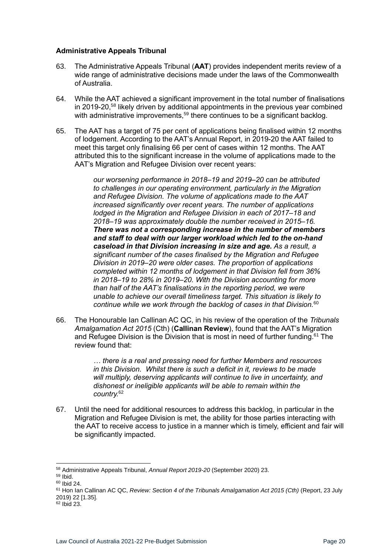#### <span id="page-19-0"></span>**Administrative Appeals Tribunal**

- 63. The Administrative Appeals Tribunal (**AAT**) provides independent merits review of a wide range of administrative decisions made under the laws of the Commonwealth of Australia.
- 64. While the AAT achieved a significant improvement in the total number of finalisations in 2019-20,<sup>58</sup> likely driven by additional appointments in the previous year combined with administrative improvements,  $59$  there continues to be a significant backlog.
- 65. The AAT has a target of 75 per cent of applications being finalised within 12 months of lodgement. According to the AAT's Annual Report, in 2019-20 the AAT failed to meet this target only finalising 66 per cent of cases within 12 months. The AAT attributed this to the significant increase in the volume of applications made to the AAT's Migration and Refugee Division over recent years:

*our worsening performance in 2018–19 and 2019–20 can be attributed to challenges in our operating environment, particularly in the Migration and Refugee Division. The volume of applications made to the AAT increased significantly over recent years. The number of applications lodged in the Migration and Refugee Division in each of 2017–18 and 2018–19 was approximately double the number received in 2015–16. There was not a corresponding increase in the number of members and staff to deal with our larger workload which led to the on-hand caseload in that Division increasing in size and age. As a result, a significant number of the cases finalised by the Migration and Refugee Division in 2019–20 were older cases. The proportion of applications completed within 12 months of lodgement in that Division fell from 36% in 2018–19 to 28% in 2019–20. With the Division accounting for more than half of the AAT's finalisations in the reporting period, we were unable to achieve our overall timeliness target. This situation is likely to continue while we work through the backlog of cases in that Division.*<sup>60</sup>

66. The Honourable Ian Callinan AC QC, in his review of the operation of the *Tribunals Amalgamation Act 2015* (Cth) (**Callinan Review**), found that the AAT's Migration and Refugee Division is the Division that is most in need of further funding.<sup>61</sup> The review found that:

> *… there is a real and pressing need for further Members and resources in this Division. Whilst there is such a deficit in it, reviews to be made will multiply, deserving applicants will continue to live in uncertainty, and dishonest or ineligible applicants will be able to remain within the country.* 62

67. Until the need for additional resources to address this backlog, in particular in the Migration and Refugee Division is met, the ability for those parties interacting with the AAT to receive access to justice in a manner which is timely, efficient and fair will be significantly impacted.

<sup>58</sup> Administrative Appeals Tribunal, *Annual Report 2019-20* (September 2020) 23.

<sup>59</sup> Ibid.

 $60$  Ibid 24.

<sup>&</sup>lt;sup>61</sup> Hon Ian Callinan AC QC, *Review: Section 4 of the Tribunals Amalgamation Act 2015 (Cth)* (Report, 23 July 2019) 22 [1.35].

<sup>62</sup> Ibid 23.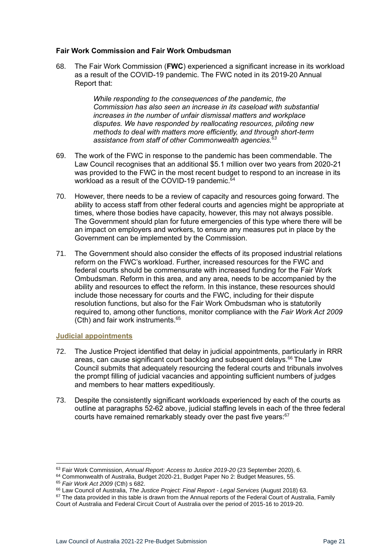### <span id="page-20-0"></span>**Fair Work Commission and Fair Work Ombudsman**

68. The Fair Work Commission (**FWC**) experienced a significant increase in its workload as a result of the COVID-19 pandemic. The FWC noted in its 2019-20 Annual Report that:

> *While responding to the consequences of the pandemic, the Commission has also seen an increase in its caseload with substantial increases in the number of unfair dismissal matters and workplace disputes. We have responded by reallocating resources, piloting new methods to deal with matters more efficiently, and through short-term*  assistance from staff of other Commonwealth agencies.<sup>6</sup>

- 69. The work of the FWC in response to the pandemic has been commendable. The Law Council recognises that an additional \$5.1 million over two years from 2020-21 was provided to the FWC in the most recent budget to respond to an increase in its workload as a result of the COVID-19 pandemic.<sup>64</sup>
- 70. However, there needs to be a review of capacity and resources going forward. The ability to access staff from other federal courts and agencies might be appropriate at times, where those bodies have capacity, however, this may not always possible. The Government should plan for future emergencies of this type where there will be an impact on employers and workers, to ensure any measures put in place by the Government can be implemented by the Commission.
- 71. The Government should also consider the effects of its proposed industrial relations reform on the FWC's workload. Further, increased resources for the FWC and federal courts should be commensurate with increased funding for the Fair Work Ombudsman. Reform in this area, and any area, needs to be accompanied by the ability and resources to effect the reform. In this instance, these resources should include those necessary for courts and the FWC, including for their dispute resolution functions, but also for the Fair Work Ombudsman who is statutorily required to, among other functions, monitor compliance with the *Fair Work Act 2009*  (Cth) and fair work instruments.<sup>65</sup>

#### <span id="page-20-1"></span>**Judicial appointments**

- 72. The Justice Project identified that delay in judicial appointments, particularly in RRR areas, can cause significant court backlog and subsequent delays.<sup>66</sup> The Law Council submits that adequately resourcing the federal courts and tribunals involves the prompt filling of judicial vacancies and appointing sufficient numbers of judges and members to hear matters expeditiously.
- 73. Despite the consistently significant workloads experienced by each of the courts as outline at paragraphs [52](#page-16-3)[-62](#page-18-0) above, judicial staffing levels in each of the three federal courts have remained remarkably steady over the past five years:<sup>67</sup>

<sup>63</sup> Fair Work Commission, *Annual Report: Access to Justice 2019-20* (23 September 2020), 6.

<sup>64</sup> Commonwealth of Australia, Budget 2020-21, Budget Paper No 2: Budget Measures, 55.

<sup>65</sup> *Fair Work Act 2009* (Cth) s 682.

<sup>66</sup> Law Council of Australia, *The Justice Project: Final Report - Legal Services* (August 2018) 63.

 $67$  The data provided in this table is drawn from the Annual reports of the Federal Court of Australia, Family Court of Australia and Federal Circuit Court of Australia over the period of 2015-16 to 2019-20.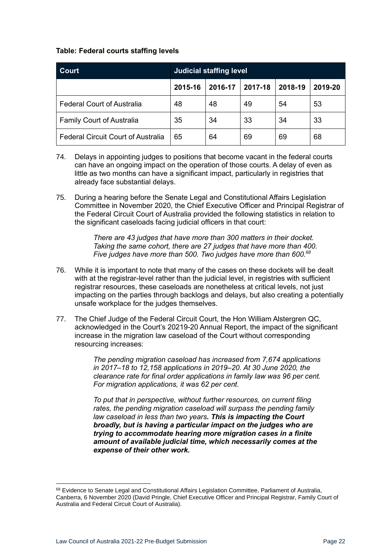### **Table: Federal courts staffing levels**

| <b>Court</b>                              | <b>Judicial staffing level</b> |         |         |         |         |
|-------------------------------------------|--------------------------------|---------|---------|---------|---------|
|                                           | 2015-16                        | 2016-17 | 2017-18 | 2018-19 | 2019-20 |
| <b>Federal Court of Australia</b>         | 48                             | 48      | 49      | 54      | 53      |
| <b>Family Court of Australia</b>          | 35                             | 34      | 33      | 34      | 33      |
| <b>Federal Circuit Court of Australia</b> | 65                             | 64      | 69      | 69      | 68      |

- 74. Delays in appointing judges to positions that become vacant in the federal courts can have an ongoing impact on the operation of those courts. A delay of even as little as two months can have a significant impact, particularly in registries that already face substantial delays.
- <span id="page-21-0"></span>75. During a hearing before the Senate Legal and Constitutional Affairs Legislation Committee in November 2020, the Chief Executive Officer and Principal Registrar of the Federal Circuit Court of Australia provided the following statistics in relation to the significant caseloads facing judicial officers in that court:

*There are 43 judges that have more than 300 matters in their docket. Taking the same cohort, there are 27 judges that have more than 400. Five judges have more than 500. Two judges have more than 600.<sup>68</sup>*

- 76. While it is important to note that many of the cases on these dockets will be dealt with at the registrar-level rather than the judicial level, in registries with sufficient registrar resources, these caseloads are nonetheless at critical levels, not just impacting on the parties through backlogs and delays, but also creating a potentially unsafe workplace for the judges themselves.
- 77. The Chief Judge of the Federal Circuit Court, the Hon William Alstergren QC, acknowledged in the Court's 20219-20 Annual Report, the impact of the significant increase in the migration law caseload of the Court without corresponding resourcing increases:

*The pending migration caseload has increased from 7,674 applications in 2017–18 to 12,158 applications in 2019–20. At 30 June 2020, the clearance rate for final order applications in family law was 96 per cent. For migration applications, it was 62 per cent.*

*To put that in perspective, without further resources, on current filing rates, the pending migration caseload will surpass the pending family law caseload in less than two years. This is impacting the Court broadly, but is having a particular impact on the judges who are trying to accommodate hearing more migration cases in a finite amount of available judicial time, which necessarily comes at the expense of their other work.*

<sup>68</sup> Evidence to Senate Legal and Constitutional Affairs Legislation Committee, Parliament of Australia, Canberra, 6 November 2020 (David Pringle, Chief Executive Officer and Principal Registrar, Family Court of Australia and Federal Circuit Court of Australia).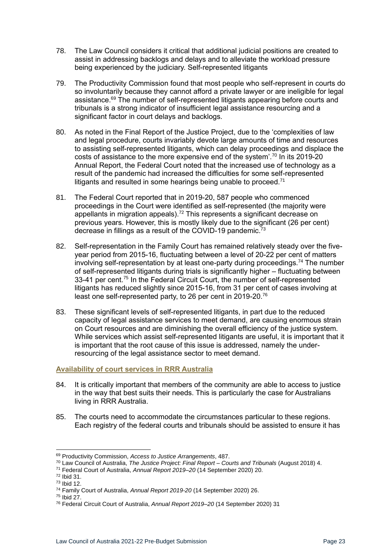- 78. The Law Council considers it critical that additional judicial positions are created to assist in addressing backlogs and delays and to alleviate the workload pressure being experienced by the judiciary. Self-represented litigants
- 79. The Productivity Commission found that most people who self-represent in courts do so involuntarily because they cannot afford a private lawyer or are ineligible for legal assistance.<sup>69</sup> The number of self-represented litigants appearing before courts and tribunals is a strong indicator of insufficient legal assistance resourcing and a significant factor in court delays and backlogs.
- 80. As noted in the Final Report of the Justice Project, due to the 'complexities of law and legal procedure, courts invariably devote large amounts of time and resources to assisting self-represented litigants, which can delay proceedings and displace the costs of assistance to the more expensive end of the system'.<sup>70</sup> In its 2019-20 Annual Report, the Federal Court noted that the increased use of technology as a result of the pandemic had increased the difficulties for some self-represented litigants and resulted in some hearings being unable to proceed. $71$
- 81. The Federal Court reported that in 2019-20, 587 people who commenced proceedings in the Court were identified as self-represented (the majority were appellants in migration appeals).<sup>72</sup> This represents a significant decrease on previous years. However, this is mostly likely due to the significant (26 per cent) decrease in fillings as a result of the COVID-19 pandemic.<sup>73</sup>
- 82. Self-representation in the Family Court has remained relatively steady over the fiveyear period from 2015-16, fluctuating between a level of 20-22 per cent of matters  $involving$  self-representation by at least one-party during proceedings.<sup>74</sup> The number of self-represented litigants during trials is significantly higher – fluctuating between 33-41 per cent.<sup>75</sup> In the Federal Circuit Court, the number of self-represented litigants has reduced slightly since 2015-16, from 31 per cent of cases involving at least one self-represented party, to 26 per cent in 2019-20.<sup>76</sup>
- 83. These significant levels of self-represented litigants, in part due to the reduced capacity of legal assistance services to meet demand, are causing enormous strain on Court resources and are diminishing the overall efficiency of the justice system. While services which assist self-represented litigants are useful, it is important that it is important that the root cause of this issue is addressed, namely the underresourcing of the legal assistance sector to meet demand.

### <span id="page-22-0"></span>**Availability of court services in RRR Australia**

- 84. It is critically important that members of the community are able to access to justice in the way that best suits their needs. This is particularly the case for Australians living in RRR Australia.
- 85. The courts need to accommodate the circumstances particular to these regions. Each registry of the federal courts and tribunals should be assisted to ensure it has

<sup>69</sup> Productivity Commission, *Access to Justice Arrangements*, 487.

<sup>70</sup> Law Council of Australia, *The Justice Project: Final Report – Courts and Tribunals* (August 2018) 4.

<sup>71</sup> Federal Court of Australia, *Annual Report 2019–20* (14 September 2020) 20.

<sup>72</sup> Ibid 31.

<sup>73</sup> Ibid 12. <sup>74</sup> Family Court of Australia, *Annual Report 2019-20* (14 September 2020) 26.

<sup>75</sup> Ibid 27.

<sup>76</sup> Federal Circuit Court of Australia, *Annual Report 2019–20* (14 September 2020) 31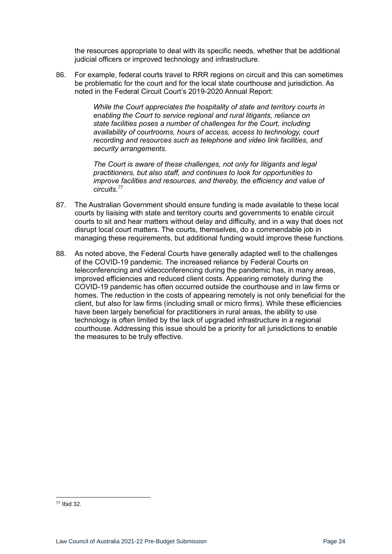the resources appropriate to deal with its specific needs, whether that be additional judicial officers or improved technology and infrastructure.

86. For example, federal courts travel to RRR regions on circuit and this can sometimes be problematic for the court and for the local state courthouse and jurisdiction. As noted in the Federal Circuit Court's 2019-2020 Annual Report:

> *While the Court appreciates the hospitality of state and territory courts in enabling the Court to service regional and rural litigants, reliance on state facilities poses a number of challenges for the Court, including availability of courtrooms, hours of access, access to technology, court recording and resources such as telephone and video link facilities, and security arrangements.*

> *The Court is aware of these challenges, not only for litigants and legal practitioners, but also staff, and continues to look for opportunities to improve facilities and resources, and thereby, the efficiency and value of circuits.<sup>77</sup>*

- 87. The Australian Government should ensure funding is made available to these local courts by liaising with state and territory courts and governments to enable circuit courts to sit and hear matters without delay and difficulty, and in a way that does not disrupt local court matters. The courts, themselves, do a commendable job in managing these requirements, but additional funding would improve these functions.
- 88. As noted above, the Federal Courts have generally adapted well to the challenges of the COVID-19 pandemic. The increased reliance by Federal Courts on teleconferencing and videoconferencing during the pandemic has, in many areas, improved efficiencies and reduced client costs. Appearing remotely during the COVID-19 pandemic has often occurred outside the courthouse and in law firms or homes. The reduction in the costs of appearing remotely is not only beneficial for the client, but also for law firms (including small or micro firms). While these efficiencies have been largely beneficial for practitioners in rural areas, the ability to use technology is often limited by the lack of upgraded infrastructure in a regional courthouse. Addressing this issue should be a priority for all jurisdictions to enable the measures to be truly effective.

<sup>77</sup> Ibid 32.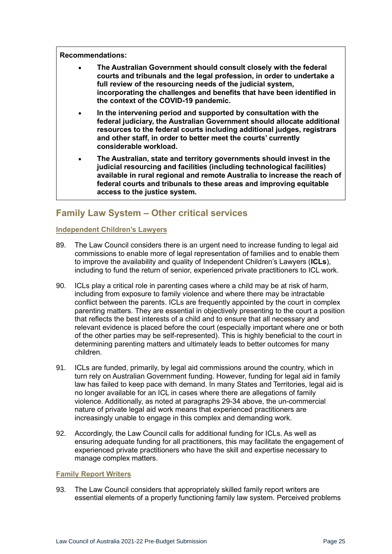**Recommendations:**

- **The Australian Government should consult closely with the federal courts and tribunals and the legal profession, in order to undertake a full review of the resourcing needs of the judicial system, incorporating the challenges and benefits that have been identified in the context of the COVID-19 pandemic.**
- **In the intervening period and supported by consultation with the federal judiciary, the Australian Government should allocate additional resources to the federal courts including additional judges, registrars and other staff, in order to better meet the courts' currently considerable workload.**
- **The Australian, state and territory governments should invest in the judicial resourcing and facilities (including technological facilities) available in rural regional and remote Australia to increase the reach of federal courts and tribunals to these areas and improving equitable access to the justice system.**

### <span id="page-24-0"></span>**Family Law System – Other critical services**

### <span id="page-24-1"></span>**Independent Children's Lawyers**

- 89. The Law Council considers there is an urgent need to increase funding to legal aid commissions to enable more of legal representation of families and to enable them to improve the availability and quality of Independent Children's Lawyers (**ICLs**), including to fund the return of senior, experienced private practitioners to ICL work.
- 90. ICLs play a critical role in parenting cases where a child may be at risk of harm, including from exposure to family violence and where there may be intractable conflict between the parents. ICLs are frequently appointed by the court in complex parenting matters. They are essential in objectively presenting to the court a position that reflects the best interests of a child and to ensure that all necessary and relevant evidence is placed before the court (especially important where one or both of the other parties may be self-represented). This is highly beneficial to the court in determining parenting matters and ultimately leads to better outcomes for many children.
- 91. ICLs are funded, primarily, by legal aid commissions around the country, which in turn rely on Australian Government funding. However, funding for legal aid in family law has failed to keep pace with demand. In many States and Territories, legal aid is no longer available for an ICL in cases where there are allegations of family violence. Additionally, as noted at paragraphs [29](#page-12-1)[-34](#page-13-2) above, the un-commercial nature of private legal aid work means that experienced practitioners are increasingly unable to engage in this complex and demanding work.
- 92. Accordingly, the Law Council calls for additional funding for ICLs. As well as ensuring adequate funding for all practitioners, this may facilitate the engagement of experienced private practitioners who have the skill and expertise necessary to manage complex matters.

### <span id="page-24-2"></span>**Family Report Writers**

93. The Law Council considers that appropriately skilled family report writers are essential elements of a properly functioning family law system. Perceived problems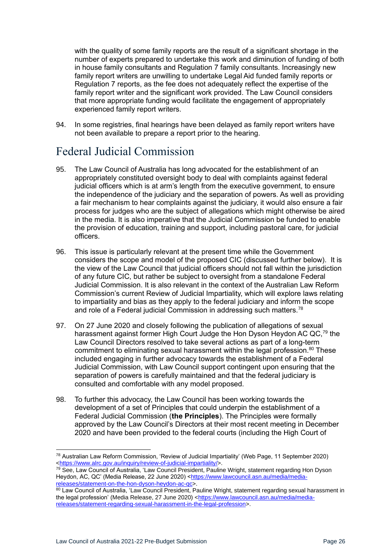with the quality of some family reports are the result of a significant shortage in the number of experts prepared to undertake this work and diminution of funding of both in house family consultants and Regulation 7 family consultants. Increasingly new family report writers are unwilling to undertake Legal Aid funded family reports or Regulation 7 reports, as the fee does not adequately reflect the expertise of the family report writer and the significant work provided. The Law Council considers that more appropriate funding would facilitate the engagement of appropriately experienced family report writers.

94. In some registries, final hearings have been delayed as family report writers have not been available to prepare a report prior to the hearing.

### <span id="page-25-0"></span>Federal Judicial Commission

- 95. The Law Council of Australia has long advocated for the establishment of an appropriately constituted oversight body to deal with complaints against federal judicial officers which is at arm's length from the executive government, to ensure the independence of the judiciary and the separation of powers. As well as providing a fair mechanism to hear complaints against the judiciary, it would also ensure a fair process for judges who are the subject of allegations which might otherwise be aired in the media. It is also imperative that the Judicial Commission be funded to enable the provision of education, training and support, including pastoral care, for judicial officers.
- 96. This issue is particularly relevant at the present time while the Government considers the scope and model of the proposed CIC (discussed further below). It is the view of the Law Council that judicial officers should not fall within the jurisdiction of any future CIC, but rather be subject to oversight from a standalone Federal Judicial Commission. It is also relevant in the context of the Australian Law Reform Commission's current Review of Judicial Impartiality, which will explore laws relating to impartiality and bias as they apply to the federal judiciary and inform the scope and role of a Federal judicial Commission in addressing such matters.<sup>78</sup>
- 97. On 27 June 2020 and closely following the publication of allegations of sexual harassment against former High Court Judge the Hon Dyson Heydon AC QC,<sup>79</sup> the Law Council Directors resolved to take several actions as part of a long-term commitment to eliminating sexual harassment within the legal profession. $80$  These included engaging in further advocacy towards the establishment of a Federal Judicial Commission, with Law Council support contingent upon ensuring that the separation of powers is carefully maintained and that the federal judiciary is consulted and comfortable with any model proposed.
- 98. To further this advocacy, the Law Council has been working towards the development of a set of Principles that could underpin the establishment of a Federal Judicial Commission (**the Principles**). The Principles were formally approved by the Law Council's Directors at their most recent meeting in December 2020 and have been provided to the federal courts (including the High Court of

<sup>78</sup> Australian Law Reform Commission, 'Review of Judicial Impartiality' (Web Page, 11 September 2020) [<https://www.alrc.gov.au/inquiry/review-of-judicial-impartiality/>](https://www.alrc.gov.au/inquiry/review-of-judicial-impartiality/).

<sup>79</sup> See, Law Council of Australia, 'Law Council President, Pauline Wright, statement regarding Hon Dyson Heydon, AC, QC' (Media Release, 22 June 2020) [<https://www.lawcouncil.asn.au/media/media](https://www.lawcouncil.asn.au/media/media-releases/statement-on-the-hon-dyson-heydon-ac-qc)[releases/statement-on-the-hon-dyson-heydon-ac-qc>](https://www.lawcouncil.asn.au/media/media-releases/statement-on-the-hon-dyson-heydon-ac-qc).

<sup>80</sup> Law Council of Australia, 'Law Council President, Pauline Wright, statement regarding sexual harassment in the legal profession' (Media Release, 27 June 2020) [<https://www.lawcouncil.asn.au/media/media](https://www.lawcouncil.asn.au/media/media-releases/statement-regarding-sexual-harassment-in-the-legal-profession)[releases/statement-regarding-sexual-harassment-in-the-legal-profession>](https://www.lawcouncil.asn.au/media/media-releases/statement-regarding-sexual-harassment-in-the-legal-profession).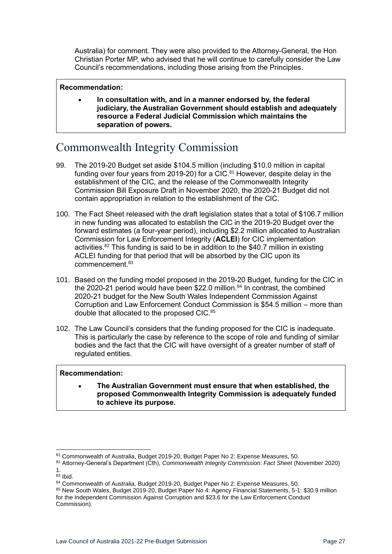Australia) for comment. They were also provided to the Attorney-General, the Hon Christian Porter MP, who advised that he will continue to carefully consider the Law Council's recommendations, including those arising from the Principles.

### **Recommendation:**

• **In consultation with, and in a manner endorsed by, the federal judiciary, the Australian Government should establish and adequately resource a Federal Judicial Commission which maintains the separation of powers.**

# <span id="page-26-0"></span>Commonwealth Integrity Commission

- 99. The 2019-20 Budget set aside \$104.5 million (including \$10.0 million in capital funding over four years from 2019-20) for a CIC.<sup>81</sup> However, despite delay in the establishment of the CIC, and the release of the Commonwealth Integrity Commission Bill Exposure Draft in November 2020, the 2020-21 Budget did not contain appropriation in relation to the establishment of the CIC.
- 100. The Fact Sheet released with the draft legislation states that a total of \$106.7 million in new funding was allocated to establish the CIC in the 2019-20 Budget over the forward estimates (a four-year period), including \$2.2 million allocated to Australian Commission for Law Enforcement Integrity (**ACLEI**) for CIC implementation activities. $82$  This funding is said to be in addition to the \$40.7 million in existing ACLEI funding for that period that will be absorbed by the CIC upon its commencement.<sup>83</sup>
- 101. Based on the funding model proposed in the 2019-20 Budget, funding for the CIC in the 2020-21 period would have been \$22.0 million. $84$  In contrast, the combined 2020-21 budget for the New South Wales Independent Commission Against Corruption and Law Enforcement Conduct Commission is \$54.5 million – more than double that allocated to the proposed CIC.<sup>85</sup>
- 102. The Law Council's considers that the funding proposed for the CIC is inadequate. This is particularly the case by reference to the scope of role and funding of similar bodies and the fact that the CIC will have oversight of a greater number of staff of regulated entities.

### **Recommendation:**

• **The Australian Government must ensure that when established, the proposed Commonwealth Integrity Commission is adequately funded to achieve its purpose.**

<sup>81</sup> Commonwealth of Australia, Budget 2019-20, Budget Paper No 2: Expense Measures, 50.

<sup>82</sup> Attorney-General's Department (Cth), *Commonwealth Integrity Commission: Fact Sheet* (November 2020) 1.

 $83$  Ibid.

<sup>84</sup> Commonwealth of Australia, Budget 2019-20, Budget Paper No 2: Expense Measures, 50.

<sup>85</sup> New South Wales, Budget 2019-20, Budget Paper No 4: Agency Financial Statements, 5-1: \$30.9 million for the Independent Commission Against Corruption and \$23.6 for the Law Enforcement Conduct Commission).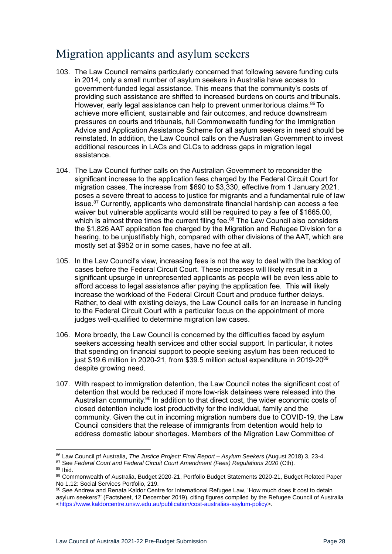# <span id="page-27-0"></span>Migration applicants and asylum seekers

- 103. The Law Council remains particularly concerned that following severe funding cuts in 2014, only a small number of asylum seekers in Australia have access to government-funded legal assistance. This means that the community's costs of providing such assistance are shifted to increased burdens on courts and tribunals. However, early legal assistance can help to prevent unmeritorious claims.<sup>86</sup> To achieve more efficient, sustainable and fair outcomes, and reduce downstream pressures on courts and tribunals, full Commonwealth funding for the Immigration Advice and Application Assistance Scheme for all asylum seekers in need should be reinstated. In addition, the Law Council calls on the Australian Government to invest additional resources in LACs and CLCs to address gaps in migration legal assistance.
- <span id="page-27-1"></span>104. The Law Council further calls on the Australian Government to reconsider the significant increase to the application fees charged by the Federal Circuit Court for migration cases. The increase from \$690 to \$3,330, effective from 1 January 2021, poses a severe threat to access to justice for migrants and a fundamental rule of law issue. <sup>87</sup> Currently, applicants who demonstrate financial hardship can access a fee waiver but vulnerable applicants would still be required to pay a fee of \$1665.00, which is almost three times the current filing fee.<sup>88</sup> The Law Council also considers the \$1,826 AAT application fee charged by the Migration and Refugee Division for a hearing, to be unjustifiably high, compared with other divisions of the AAT, which are mostly set at \$952 or in some cases, have no fee at all.
- <span id="page-27-2"></span>105. In the Law Council's view, increasing fees is not the way to deal with the backlog of cases before the Federal Circuit Court. These increases will likely result in a significant upsurge in unrepresented applicants as people will be even less able to afford access to legal assistance after paying the application fee. This will likely increase the workload of the Federal Circuit Court and produce further delays. Rather, to deal with existing delays, the Law Council calls for an increase in funding to the Federal Circuit Court with a particular focus on the appointment of more judges well-qualified to determine migration law cases.
- 106. More broadly, the Law Council is concerned by the difficulties faced by asylum seekers accessing health services and other social support. In particular, it notes that spending on financial support to people seeking asylum has been reduced to just \$19.6 million in 2020-21, from \$39.5 million actual expenditure in 2019-20<sup>89</sup> despite growing need.
- 107. With respect to immigration detention, the Law Council notes the significant cost of detention that would be reduced if more low-risk detainees were released into the Australian community.<sup>90</sup> In addition to that direct cost, the wider economic costs of closed detention include lost productivity for the individual, family and the community. Given the cut in incoming migration numbers due to COVID-19, the Law Council considers that the release of immigrants from detention would help to address domestic labour shortages. Members of the Migration Law Committee of

<sup>86</sup> Law Council pf Australia, *The Justice Project: Final Report – Asylum Seekers* (August 2018) 3, 23-4.

<sup>87</sup> See *Federal Court and Federal Circuit Court Amendment (Fees) Regulations 2020* (Cth).

<sup>88</sup> Ibid.

<sup>89</sup> Commonwealth of Australia, Budget 2020-21, Portfolio Budget Statements 2020-21, Budget Related Paper No 1.12: Social Services Portfolio, 219.

<sup>90</sup> See Andrew and Renata Kaldor Centre for International Refugee Law, 'How much does it cost to detain asylum seekers?' (Factsheet, 12 December 2019), citing figures compiled by the Refugee Council of Australia [<https://www.kaldorcentre.unsw.edu.au/publication/cost-australias-asylum-policy>](https://www.kaldorcentre.unsw.edu.au/publication/cost-australias-asylum-policy).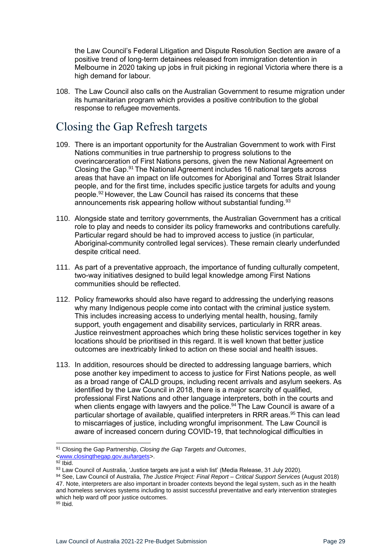the Law Council's Federal Litigation and Dispute Resolution Section are aware of a positive trend of long-term detainees released from immigration detention in Melbourne in 2020 taking up jobs in fruit picking in regional Victoria where there is a high demand for labour.

108. The Law Council also calls on the Australian Government to resume migration under its humanitarian program which provides a positive contribution to the global response to refugee movements.

## <span id="page-28-0"></span>Closing the Gap Refresh targets

- 109. There is an important opportunity for the Australian Government to work with First Nations communities in true partnership to progress solutions to the overincarceration of First Nations persons, given the new National Agreement on Closing the Gap.<sup>91</sup> The National Agreement includes 16 national targets across areas that have an impact on life outcomes for Aboriginal and Torres Strait Islander people, and for the first time, includes specific justice targets for adults and young people.<sup>92</sup> However, the Law Council has raised its concerns that these announcements risk appearing hollow without substantial funding.<sup>93</sup>
- 110. Alongside state and territory governments, the Australian Government has a critical role to play and needs to consider its policy frameworks and contributions carefully. Particular regard should be had to improved access to justice (in particular, Aboriginal-community controlled legal services). These remain clearly underfunded despite critical need.
- 111. As part of a preventative approach, the importance of funding culturally competent, two-way initiatives designed to build legal knowledge among First Nations communities should be reflected.
- 112. Policy frameworks should also have regard to addressing the underlying reasons why many Indigenous people come into contact with the criminal justice system. This includes increasing access to underlying mental health, housing, family support, youth engagement and disability services, particularly in RRR areas. Justice reinvestment approaches which bring these holistic services together in key locations should be prioritised in this regard. It is well known that better justice outcomes are inextricably linked to action on these social and health issues.
- 113. In addition, resources should be directed to addressing language barriers, which pose another key impediment to access to justice for First Nations people, as well as a broad range of CALD groups, including recent arrivals and asylum seekers. As identified by the Law Council in 2018, there is a major scarcity of qualified, professional First Nations and other language interpreters, both in the courts and when clients engage with lawyers and the police.<sup>94</sup> The Law Council is aware of a particular shortage of available, qualified interpreters in RRR areas.<sup>95</sup> This can lead to miscarriages of justice, including wrongful imprisonment. The Law Council is aware of increased concern during COVID-19, that technological difficulties in

<sup>91</sup> Closing the Gap Partnership, *Closing the Gap Targets and Outcomes*, [<www.closingthegap.gov.au/targets>](http://www.closingthegap.gov.au/targets).

 $92$  Ibid.

<sup>93</sup> Law Council of Australia, 'Justice targets are just a wish list' (Media Release, 31 July 2020).

<sup>94</sup> See, Law Council of Australia, *The Justice Project: Final Report – Critical Support Services* (August 2018) 47. Note, interpreters are also important in broader contexts beyond the legal system, such as in the health and homeless services systems including to assist successful preventative and early intervention strategies which help ward off poor justice outcomes.

<sup>95</sup> Ibid.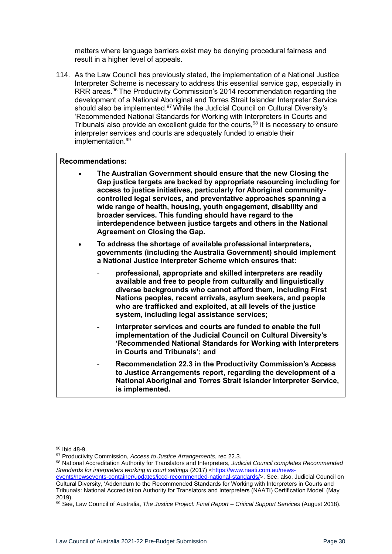matters where language barriers exist may be denying procedural fairness and result in a higher level of appeals.

114. As the Law Council has previously stated, the implementation of a National Justice Interpreter Scheme is necessary to address this essential service gap, especially in RRR areas.<sup>96</sup> The Productivity Commission's 2014 recommendation regarding the development of a National Aboriginal and Torres Strait Islander Interpreter Service should also be implemented.<sup>97</sup> While the Judicial Council on Cultural Diversity's 'Recommended National Standards for Working with Interpreters in Courts and Tribunals' also provide an excellent guide for the courts,<sup>98</sup> it is necessary to ensure interpreter services and courts are adequately funded to enable their implementation.<sup>99</sup>

#### **Recommendations:**

- **The Australian Government should ensure that the new Closing the Gap justice targets are backed by appropriate resourcing including for access to justice initiatives, particularly for Aboriginal communitycontrolled legal services, and preventative approaches spanning a wide range of health, housing, youth engagement, disability and broader services. This funding should have regard to the interdependence between justice targets and others in the National Agreement on Closing the Gap.**
- **To address the shortage of available professional interpreters, governments (including the Australia Government) should implement a National Justice Interpreter Scheme which ensures that:** 
	- **professional, appropriate and skilled interpreters are readily available and free to people from culturally and linguistically diverse backgrounds who cannot afford them, including First Nations peoples, recent arrivals, asylum seekers, and people who are trafficked and exploited, at all levels of the justice system, including legal assistance services;**
	- interpreter services and courts are funded to enable the full **implementation of the Judicial Council on Cultural Diversity's 'Recommended National Standards for Working with Interpreters in Courts and Tribunals'; and**
	- **Recommendation 22.3 in the Productivity Commission's Access to Justice Arrangements report, regarding the development of a National Aboriginal and Torres Strait Islander Interpreter Service, is implemented.**

<sup>96</sup> Ibid 48-9.

<sup>97</sup> Productivity Commission, *Access to Justice Arrangements*, rec 22.3.

<sup>98</sup> National Accreditation Authority for Translators and Interpreters, *Judicial Council completes Recommended*  Standards for interpreters working in court settings (2017) [<https://www.naati.com.au/news-](https://www.naati.com.au/news-events/newsevents-container/updates/jccd-recommended-national-standards/)

[events/newsevents-container/updates/jccd-recommended-national-standards/>](https://www.naati.com.au/news-events/newsevents-container/updates/jccd-recommended-national-standards/). See, also, Judicial Council on Cultural Diversity, 'Addendum to the Recommended Standards for Working with Interpreters in Courts and Tribunals: National Accreditation Authority for Translators and Interpreters (NAATI) Certification Model' (May 2019).

<sup>99</sup> See, Law Council of Australia, *The Justice Project: Final Report – Critical Support Services* (August 2018).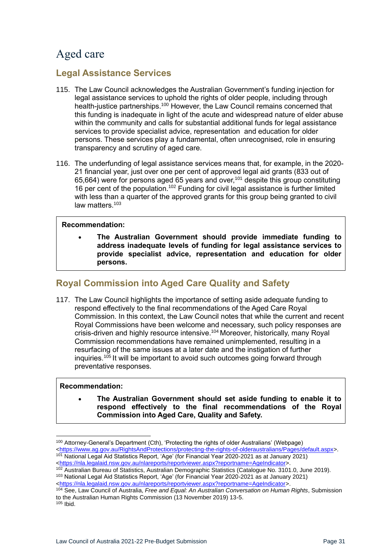# <span id="page-30-0"></span>Aged care

### <span id="page-30-1"></span>**Legal Assistance Services**

- 115. The Law Council acknowledges the Australian Government's funding injection for legal assistance services to uphold the rights of older people, including through health-justice partnerships.<sup>100</sup> However, the Law Council remains concerned that this funding is inadequate in light of the acute and widespread nature of elder abuse within the community and calls for substantial additional funds for legal assistance services to provide specialist advice, representation and education for older persons. These services play a fundamental, often unrecognised, role in ensuring transparency and scrutiny of aged care.
- 116. The underfunding of legal assistance services means that, for example, in the 2020- 21 financial year, just over one per cent of approved legal aid grants (833 out of 65,664) were for persons aged 65 years and over,<sup>101</sup> despite this group constituting 16 per cent of the population.<sup>102</sup> Funding for civil legal assistance is further limited with less than a quarter of the approved grants for this group being granted to civil law matters<sup>103</sup>

### **Recommendation:**

• **The Australian Government should provide immediate funding to address inadequate levels of funding for legal assistance services to provide specialist advice, representation and education for older persons.** 

### <span id="page-30-2"></span>**Royal Commission into Aged Care Quality and Safety**

117. The Law Council highlights the importance of setting aside adequate funding to respond effectively to the final recommendations of the Aged Care Royal Commission. In this context, the Law Council notes that while the current and recent Royal Commissions have been welcome and necessary, such policy responses are crisis-driven and highly resource intensive.<sup>104</sup> Moreover, historically, many Royal Commission recommendations have remained unimplemented, resulting in a resurfacing of the same issues at a later date and the instigation of further inquiries.<sup>105</sup> It will be important to avoid such outcomes going forward through preventative responses.

### **Recommendation:**

• **The Australian Government should set aside funding to enable it to respond effectively to the final recommendations of the Royal Commission into Aged Care, Quality and Safety.**

<sup>100</sup> Attorney-General's Department (Cth), 'Protecting the rights of older Australians' (Webpage) [<https://www.ag.gov.au/RightsAndProtections/protecting-the-rights-of-olderaustralians/Pages/default.aspx>](https://www.ag.gov.au/RightsAndProtections/protecting-the-rights-of-olderaustralians/Pages/default.aspx). <sup>101</sup> National Legal Aid Statistics Report, 'Age' (for Financial Year 2020-2021 as at January 2021)

[<sup>&</sup>lt;https://nla.legalaid.nsw.gov.au/nlareports/reportviewer.aspx?reportname=AgeIndicator>](https://nla.legalaid.nsw.gov.au/nlareports/reportviewer.aspx?reportname=AgeIndicator).

<sup>102</sup> Australian Bureau of Statistics, Australian Demographic Statistics (Catalogue No. 3101.0, June 2019). <sup>103</sup> National Legal Aid Statistics Report, 'Age' (for Financial Year 2020-2021 as at January 2021)

[<sup>&</sup>lt;https://nla.legalaid.nsw.gov.au/nlareports/reportviewer.aspx?reportname=AgeIndicator>](https://nla.legalaid.nsw.gov.au/nlareports/reportviewer.aspx?reportname=AgeIndicator).

<sup>104</sup> See, Law Council of Australia, *Free and Equal: An Australian Conversation on Human Rights*, Submission to the Australian Human Rights Commission (13 November 2019) 13-5. <sup>105</sup> Ibid.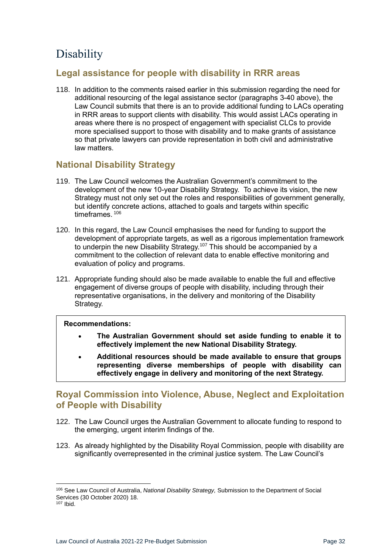# <span id="page-31-0"></span>**D**isability

### <span id="page-31-1"></span>**Legal assistance for people with disability in RRR areas**

118. In addition to the comments raised earlier in this submission regarding the need for additional resourcing of the legal assistance sector (paragraphs [3-](#page-7-2)[40](#page-14-1) above), the Law Council submits that there is an to provide additional funding to LACs operating in RRR areas to support clients with disability. This would assist LACs operating in areas where there is no prospect of engagement with specialist CLCs to provide more specialised support to those with disability and to make grants of assistance so that private lawyers can provide representation in both civil and administrative law matters.

### <span id="page-31-2"></span>**National Disability Strategy**

- 119. The Law Council welcomes the Australian Government's commitment to the development of the new 10-year Disability Strategy. To achieve its vision, the new Strategy must not only set out the roles and responsibilities of government generally, but identify concrete actions, attached to goals and targets within specific timeframes<sup>106</sup>
- 120. In this regard, the Law Council emphasises the need for funding to support the development of appropriate targets, as well as a rigorous implementation framework to underpin the new Disability Strategy.<sup>107</sup> This should be accompanied by a commitment to the collection of relevant data to enable effective monitoring and evaluation of policy and programs.
- 121. Appropriate funding should also be made available to enable the full and effective engagement of diverse groups of people with disability, including through their representative organisations, in the delivery and monitoring of the Disability Strategy.

### **Recommendations:**

- **The Australian Government should set aside funding to enable it to effectively implement the new National Disability Strategy.**
- **Additional resources should be made available to ensure that groups representing diverse memberships of people with disability can effectively engage in delivery and monitoring of the next Strategy.**

### <span id="page-31-3"></span>**Royal Commission into Violence, Abuse, Neglect and Exploitation of People with Disability**

- 122. The Law Council urges the Australian Government to allocate funding to respond to the emerging, urgent interim findings of the.
- 123. As already highlighted by the Disability Royal Commission, people with disability are significantly overrepresented in the criminal justice system. The Law Council's

<sup>106</sup> See Law Council of Australia, *National Disability Strategy,* Submission to the Department of Social Services (30 October 2020) 18.

<sup>107</sup> Ibid.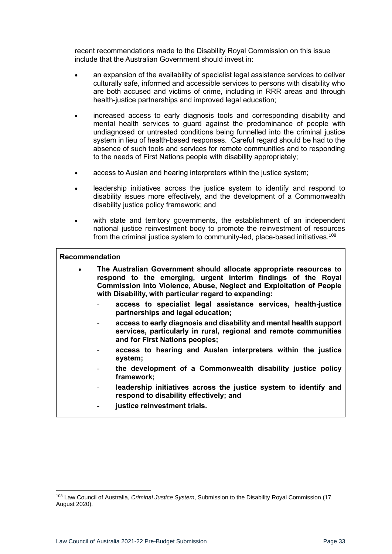recent recommendations made to the Disability Royal Commission on this issue include that the Australian Government should invest in:

- an expansion of the availability of specialist legal assistance services to deliver culturally safe, informed and accessible services to persons with disability who are both accused and victims of crime, including in RRR areas and through health-justice partnerships and improved legal education;
- increased access to early diagnosis tools and corresponding disability and mental health services to guard against the predominance of people with undiagnosed or untreated conditions being funnelled into the criminal justice system in lieu of health-based responses. Careful regard should be had to the absence of such tools and services for remote communities and to responding to the needs of First Nations people with disability appropriately;
- access to Auslan and hearing interpreters within the justice system;
- leadership initiatives across the justice system to identify and respond to disability issues more effectively, and the development of a Commonwealth disability justice policy framework; and
- with state and territory governments, the establishment of an independent national justice reinvestment body to promote the reinvestment of resources from the criminal justice system to community-led, place-based initiatives.<sup>108</sup>

#### **Recommendation**

- **The Australian Government should allocate appropriate resources to respond to the emerging, urgent interim findings of the Royal Commission into Violence, Abuse, Neglect and Exploitation of People with Disability, with particular regard to expanding:**
	- **access to specialist legal assistance services, health-justice partnerships and legal education;**
	- **access to early diagnosis and disability and mental health support services, particularly in rural, regional and remote communities and for First Nations peoples;**
	- **access to hearing and Auslan interpreters within the justice system;**
	- **the development of a Commonwealth disability justice policy framework;**
	- leadership initiatives across the justice system to identify and **respond to disability effectively; and**
	- justice reinvestment trials.

<sup>108</sup> Law Council of Australia, *Criminal Justice System*, Submission to the Disability Royal Commission (17 August 2020).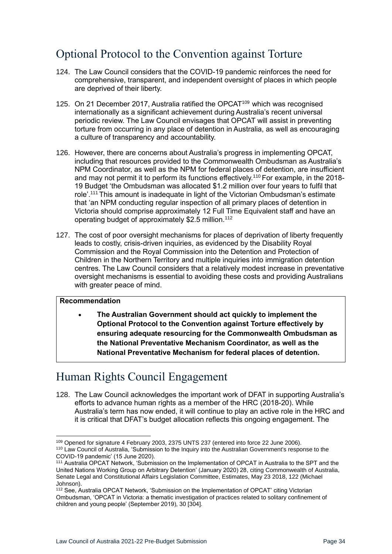# <span id="page-33-0"></span>Optional Protocol to the Convention against Torture

- 124. The Law Council considers that the COVID-19 pandemic reinforces the need for comprehensive, transparent, and independent oversight of places in which people are deprived of their liberty.
- 125. On 21 December 2017, Australia ratified the OPCAT<sup>109</sup> which was recognised internationally as a significant achievement during Australia's recent universal periodic review. The Law Council envisages that OPCAT will assist in preventing torture from occurring in any place of detention in Australia, as well as encouraging a culture of transparency and accountability.
- 126. However, there are concerns about Australia's progress in implementing OPCAT, including that resources provided to the Commonwealth Ombudsman as Australia's NPM Coordinator, as well as the NPM for federal places of detention, are insufficient and may not permit it to perform its functions effectively.<sup>110</sup> For example, in the 2018-19 Budget 'the Ombudsman was allocated \$1.2 million over four years to fulfil that role'.<sup>111</sup> This amount is inadequate in light of the Victorian Ombudsman's estimate that 'an NPM conducting regular inspection of all primary places of detention in Victoria should comprise approximately 12 Full Time Equivalent staff and have an operating budget of approximately \$2.5 million.<sup>112</sup>
- 127. The cost of poor oversight mechanisms for places of deprivation of liberty frequently leads to costly, crisis-driven inquiries, as evidenced by the Disability Royal Commission and the Royal Commission into the Detention and Protection of Children in the Northern Territory and multiple inquiries into immigration detention centres. The Law Council considers that a relatively modest increase in preventative oversight mechanisms is essential to avoiding these costs and providing Australians with greater peace of mind.

### **Recommendation**

• **The Australian Government should act quickly to implement the Optional Protocol to the Convention against Torture effectively by ensuring adequate resourcing for the Commonwealth Ombudsman as the National Preventative Mechanism Coordinator, as well as the National Preventative Mechanism for federal places of detention.** 

# <span id="page-33-1"></span>Human Rights Council Engagement

128. The Law Council acknowledges the important work of DFAT in supporting Australia's efforts to advance human rights as a member of the HRC (2018-20). While Australia's term has now ended, it will continue to play an active role in the HRC and it is critical that DFAT's budget allocation reflects this ongoing engagement. The

<sup>109</sup> Opened for signature 4 February 2003, 2375 UNTS 237 (entered into force 22 June 2006). 110 Law Council of Australia, 'Submission to the Inquiry into the Australian Government's response to the COVID-19 pandemic' (15 June 2020).

<sup>111</sup> Australia OPCAT Network, 'Submission on the Implementation of OPCAT in Australia to the SPT and the United Nations Working Group on Arbitrary Detention' (January 2020) 28, citing Commonwealth of Australia, Senate Legal and Constitutional Affairs Legislation Committee, Estimates, May 23 2018, 122 (Michael Johnson).

<sup>&</sup>lt;sup>112</sup> See, Australia OPCAT Network, 'Submission on the Implementation of OPCAT' citing Victorian Ombudsman, 'OPCAT in Victoria: a thematic investigation of practices related to solitary confinement of children and young people' (September 2019), 30 [304].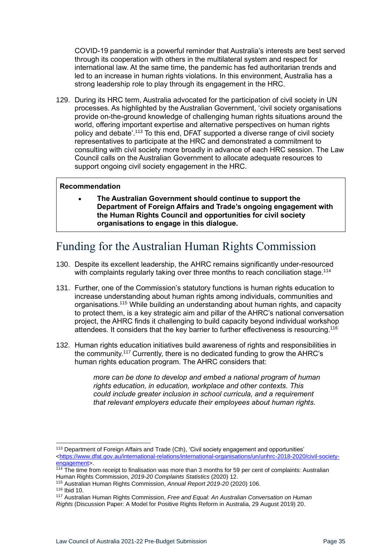COVID-19 pandemic is a powerful reminder that Australia's interests are best served through its cooperation with others in the multilateral system and respect for international law. At the same time, the pandemic has fed authoritarian trends and led to an increase in human rights violations. In this environment, Australia has a strong leadership role to play through its engagement in the HRC.

129. During its HRC term, Australia advocated for the participation of civil society in UN processes. As highlighted by the Australian Government, 'civil society organisations provide on-the-ground knowledge of challenging human rights situations around the world, offering important expertise and alternative perspectives on human rights policy and debate'.<sup>113</sup> To this end, DFAT supported a diverse range of civil society representatives to participate at the HRC and demonstrated a commitment to consulting with civil society more broadly in advance of each HRC session. The Law Council calls on the Australian Government to allocate adequate resources to support ongoing civil society engagement in the HRC.

#### **Recommendation**

• **The Australian Government should continue to support the Department of Foreign Affairs and Trade's ongoing engagement with the Human Rights Council and opportunities for civil society organisations to engage in this dialogue.** 

# <span id="page-34-0"></span>Funding for the Australian Human Rights Commission

- 130. Despite its excellent leadership, the AHRC remains significantly under-resourced with complaints regularly taking over three months to reach conciliation stage.<sup>114</sup>
- 131. Further, one of the Commission's statutory functions is human rights education to increase understanding about human rights among individuals, communities and organisations.<sup>115</sup> While building an understanding about human rights, and capacity to protect them, is a key strategic aim and pillar of the AHRC's national conversation project, the AHRC finds it challenging to build capacity beyond individual workshop attendees. It considers that the key barrier to further effectiveness is resourcing.<sup>116</sup>
- 132. Human rights education initiatives build awareness of rights and responsibilities in the community.<sup>117</sup> Currently, there is no dedicated funding to grow the AHRC's human rights education program. The AHRC considers that:

*more can be done to develop and embed a national program of human rights education, in education, workplace and other contexts. This could include greater inclusion in school curricula, and a requirement that relevant employers educate their employees about human rights.*

<sup>115</sup> Australian Human Rights Commission, *Annual Report 2019-20* (2020) 106.

<sup>113</sup> Department of Foreign Affairs and Trade (Cth), 'Civil society engagement and opportunities' [<https://www.dfat.gov.au/international-relations/international-organisations/un/unhrc-2018-2020/civil-society](https://www.dfat.gov.au/international-relations/international-organisations/un/unhrc-2018-2020/civil-society-engagement)[engagement>](https://www.dfat.gov.au/international-relations/international-organisations/un/unhrc-2018-2020/civil-society-engagement).

<sup>114</sup> The time from receipt to finalisation was more than 3 months for 59 per cent of complaints: Australian Human Rights Commission, *2019-20 Complaints Statistics* (2020) 12.

<sup>116</sup> Ibid 10.

<sup>117</sup> Australian Human Rights Commission, *Free and Equal: An Australian Conversation on Human Rights* (Discussion Paper: A Model for Positive Rights Reform in Australia, 29 August 2019) 20.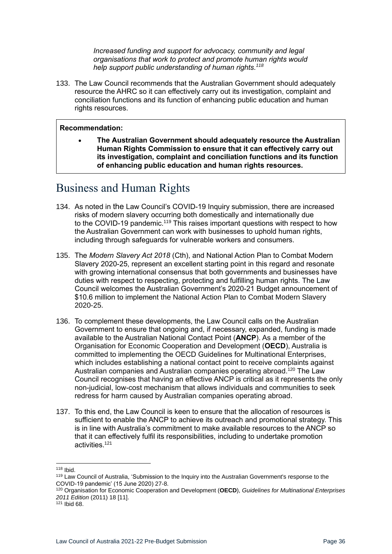*Increased funding and support for advocacy, community and legal organisations that work to protect and promote human rights would help support public understanding of human rights.<sup>118</sup>*

133. The Law Council recommends that the Australian Government should adequately resource the AHRC so it can effectively carry out its investigation, complaint and conciliation functions and its function of enhancing public education and human rights resources.

#### **Recommendation:**

• **The Australian Government should adequately resource the Australian Human Rights Commission to ensure that it can effectively carry out its investigation, complaint and conciliation functions and its function of enhancing public education and human rights resources.**

### <span id="page-35-0"></span>Business and Human Rights

- 134. As noted in the Law Council's COVID-19 Inquiry submission, there are increased risks of modern slavery occurring both domestically and internationally due to the COVID-19 pandemic.<sup>119</sup> This raises important questions with respect to how the Australian Government can work with businesses to uphold human rights, including through safeguards for vulnerable workers and consumers.
- 135. The *Modern Slavery Act 2018* (Cth), and National Action Plan to Combat Modern Slavery 2020-25, represent an excellent starting point in this regard and resonate with growing international consensus that both governments and businesses have duties with respect to respecting, protecting and fulfilling human rights. The Law Council welcomes the Australian Government's 2020-21 Budget announcement of \$10.6 million to implement the National Action Plan to Combat Modern Slavery 2020-25.
- 136. To complement these developments, the Law Council calls on the Australian Government to ensure that ongoing and, if necessary, expanded, funding is made available to the Australian National Contact Point (**ANCP**). As a member of the Organisation for Economic Cooperation and Development (**OECD**), Australia is committed to implementing the OECD Guidelines for Multinational Enterprises, which includes establishing a national contact point to receive complaints against Australian companies and Australian companies operating abroad.<sup>120</sup> The Law Council recognises that having an effective ANCP is critical as it represents the only non-judicial, low-cost mechanism that allows individuals and communities to seek redress for harm caused by Australian companies operating abroad.
- 137. To this end, the Law Council is keen to ensure that the allocation of resources is sufficient to enable the ANCP to achieve its outreach and promotional strategy. This is in line with Australia's commitment to make available resources to the ANCP so that it can effectively fulfil its responsibilities, including to undertake promotion activities.<sup>121</sup>

<sup>118</sup> Ibid.

<sup>119</sup> Law Council of Australia, 'Submission to the Inquiry into the Australian Government's response to the COVID-19 pandemic' (15 June 2020) 27-8.

<sup>120</sup> Organisation for Economic Cooperation and Development (**OECD**), *Guidelines for Multinational Enterprises 2011 Edition* (2011) 18 [11].

<sup>121</sup> Ibid 68.